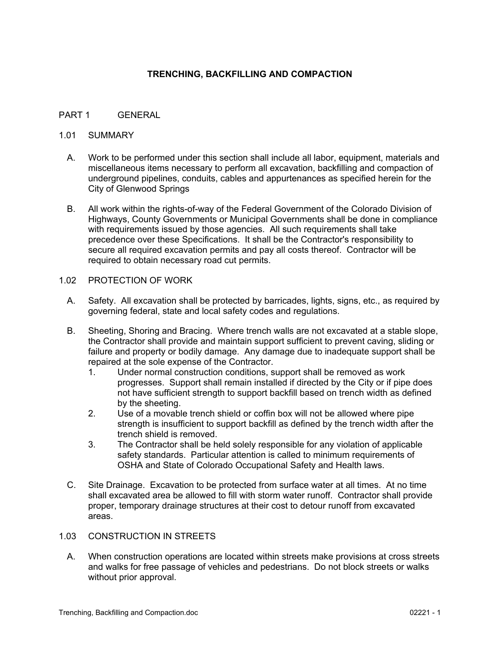### **TRENCHING, BACKFILLING AND COMPACTION**

### PART 1 GENERAL

### 1.01 SUMMARY

- A. Work to be performed under this section shall include all labor, equipment, materials and miscellaneous items necessary to perform all excavation, backfilling and compaction of underground pipelines, conduits, cables and appurtenances as specified herein for the City of Glenwood Springs
- B. All work within the rights-of-way of the Federal Government of the Colorado Division of Highways, County Governments or Municipal Governments shall be done in compliance with requirements issued by those agencies. All such requirements shall take precedence over these Specifications. It shall be the Contractor's responsibility to secure all required excavation permits and pay all costs thereof. Contractor will be required to obtain necessary road cut permits.

#### 1.02 PROTECTION OF WORK

- A. Safety. All excavation shall be protected by barricades, lights, signs, etc., as required by governing federal, state and local safety codes and regulations.
- B. Sheeting, Shoring and Bracing. Where trench walls are not excavated at a stable slope, the Contractor shall provide and maintain support sufficient to prevent caving, sliding or failure and property or bodily damage. Any damage due to inadequate support shall be repaired at the sole expense of the Contractor.
	- 1. Under normal construction conditions, support shall be removed as work progresses. Support shall remain installed if directed by the City or if pipe does not have sufficient strength to support backfill based on trench width as defined by the sheeting.
	- 2. Use of a movable trench shield or coffin box will not be allowed where pipe strength is insufficient to support backfill as defined by the trench width after the trench shield is removed.
	- 3. The Contractor shall be held solely responsible for any violation of applicable safety standards. Particular attention is called to minimum requirements of OSHA and State of Colorado Occupational Safety and Health laws.
- C. Site Drainage. Excavation to be protected from surface water at all times. At no time shall excavated area be allowed to fill with storm water runoff. Contractor shall provide proper, temporary drainage structures at their cost to detour runoff from excavated areas.

#### 1.03 CONSTRUCTION IN STREETS

A. When construction operations are located within streets make provisions at cross streets and walks for free passage of vehicles and pedestrians. Do not block streets or walks without prior approval.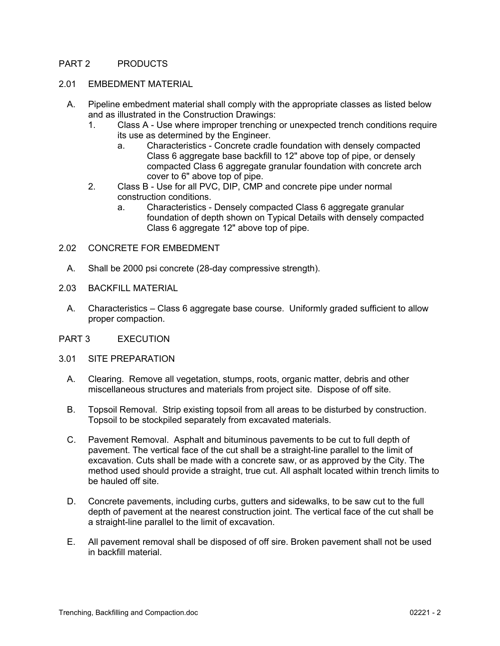### PART 2 PRODUCTS

#### 2.01 EMBEDMENT MATERIAL

- A. Pipeline embedment material shall comply with the appropriate classes as listed below and as illustrated in the Construction Drawings:
	- 1. Class A Use where improper trenching or unexpected trench conditions require its use as determined by the Engineer.
		- a. Characteristics Concrete cradle foundation with densely compacted Class 6 aggregate base backfill to 12" above top of pipe, or densely compacted Class 6 aggregate granular foundation with concrete arch cover to 6" above top of pipe.
	- 2. Class B Use for all PVC, DIP, CMP and concrete pipe under normal construction conditions.
		- a. Characteristics Densely compacted Class 6 aggregate granular foundation of depth shown on Typical Details with densely compacted Class 6 aggregate 12" above top of pipe.
- 2.02 CONCRETE FOR EMBEDMENT
	- A. Shall be 2000 psi concrete (28-day compressive strength).
- 2.03 BACKFILL MATERIAL
	- A. Characteristics Class 6 aggregate base course. Uniformly graded sufficient to allow proper compaction.
- PART 3 EXECUTION
- 3.01 SITE PREPARATION
	- A. Clearing. Remove all vegetation, stumps, roots, organic matter, debris and other miscellaneous structures and materials from project site. Dispose of off site.
	- B. Topsoil Removal. Strip existing topsoil from all areas to be disturbed by construction. Topsoil to be stockpiled separately from excavated materials.
	- C. Pavement Removal. Asphalt and bituminous pavements to be cut to full depth of pavement. The vertical face of the cut shall be a straight-line parallel to the limit of excavation. Cuts shall be made with a concrete saw, or as approved by the City. The method used should provide a straight, true cut. All asphalt located within trench limits to be hauled off site.
	- D. Concrete pavements, including curbs, gutters and sidewalks, to be saw cut to the full depth of pavement at the nearest construction joint. The vertical face of the cut shall be a straight-line parallel to the limit of excavation.
	- E. All pavement removal shall be disposed of off sire. Broken pavement shall not be used in backfill material.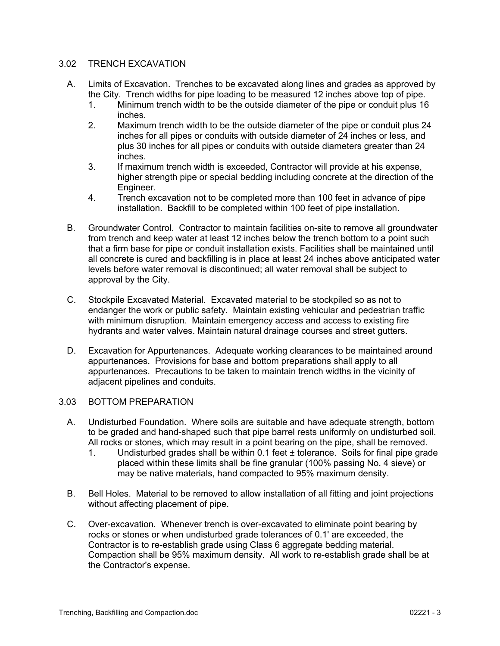### 3.02 TRENCH EXCAVATION

- A. Limits of Excavation. Trenches to be excavated along lines and grades as approved by the City. Trench widths for pipe loading to be measured 12 inches above top of pipe.
	- 1. Minimum trench width to be the outside diameter of the pipe or conduit plus 16 inches.
	- 2. Maximum trench width to be the outside diameter of the pipe or conduit plus 24 inches for all pipes or conduits with outside diameter of 24 inches or less, and plus 30 inches for all pipes or conduits with outside diameters greater than 24 inches.
	- 3. If maximum trench width is exceeded, Contractor will provide at his expense, higher strength pipe or special bedding including concrete at the direction of the Engineer.
	- 4. Trench excavation not to be completed more than 100 feet in advance of pipe installation. Backfill to be completed within 100 feet of pipe installation.
- B. Groundwater Control. Contractor to maintain facilities on-site to remove all groundwater from trench and keep water at least 12 inches below the trench bottom to a point such that a firm base for pipe or conduit installation exists. Facilities shall be maintained until all concrete is cured and backfilling is in place at least 24 inches above anticipated water levels before water removal is discontinued; all water removal shall be subject to approval by the City.
- C. Stockpile Excavated Material. Excavated material to be stockpiled so as not to endanger the work or public safety. Maintain existing vehicular and pedestrian traffic with minimum disruption. Maintain emergency access and access to existing fire hydrants and water valves. Maintain natural drainage courses and street gutters.
- D. Excavation for Appurtenances. Adequate working clearances to be maintained around appurtenances. Provisions for base and bottom preparations shall apply to all appurtenances. Precautions to be taken to maintain trench widths in the vicinity of adjacent pipelines and conduits.

#### 3.03 BOTTOM PREPARATION

- A. Undisturbed Foundation. Where soils are suitable and have adequate strength, bottom to be graded and hand-shaped such that pipe barrel rests uniformly on undisturbed soil. All rocks or stones, which may result in a point bearing on the pipe, shall be removed.
	- 1. Undisturbed grades shall be within 0.1 feet ± tolerance. Soils for final pipe grade placed within these limits shall be fine granular (100% passing No. 4 sieve) or may be native materials, hand compacted to 95% maximum density.
- B. Bell Holes. Material to be removed to allow installation of all fitting and joint projections without affecting placement of pipe.
- C. Over-excavation. Whenever trench is over-excavated to eliminate point bearing by rocks or stones or when undisturbed grade tolerances of 0.1' are exceeded, the Contractor is to re-establish grade using Class 6 aggregate bedding material. Compaction shall be 95% maximum density. All work to re-establish grade shall be at the Contractor's expense.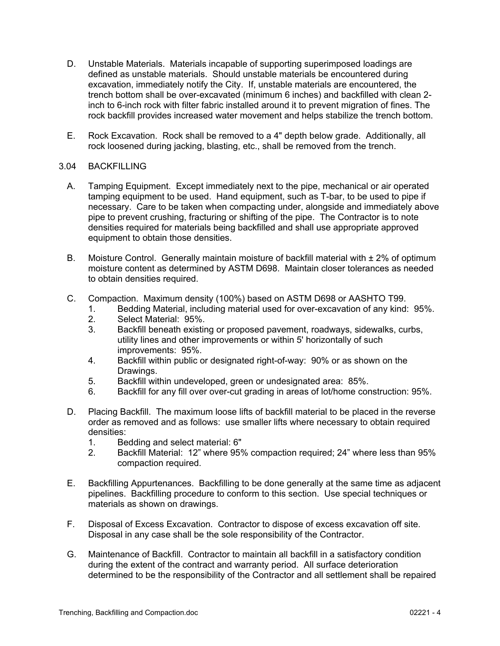- D. Unstable Materials. Materials incapable of supporting superimposed loadings are defined as unstable materials. Should unstable materials be encountered during excavation, immediately notify the City. If, unstable materials are encountered, the trench bottom shall be over-excavated (minimum 6 inches) and backfilled with clean 2 inch to 6-inch rock with filter fabric installed around it to prevent migration of fines. The rock backfill provides increased water movement and helps stabilize the trench bottom.
- E. Rock Excavation. Rock shall be removed to a 4" depth below grade. Additionally, all rock loosened during jacking, blasting, etc., shall be removed from the trench.

### 3.04 BACKFILLING

- A. Tamping Equipment. Except immediately next to the pipe, mechanical or air operated tamping equipment to be used. Hand equipment, such as T-bar, to be used to pipe if necessary. Care to be taken when compacting under, alongside and immediately above pipe to prevent crushing, fracturing or shifting of the pipe. The Contractor is to note densities required for materials being backfilled and shall use appropriate approved equipment to obtain those densities.
- B. Moisture Control. Generally maintain moisture of backfill material with  $\pm 2\%$  of optimum moisture content as determined by ASTM D698. Maintain closer tolerances as needed to obtain densities required.
- C. Compaction. Maximum density (100%) based on ASTM D698 or AASHTO T99.
	- 1. Bedding Material, including material used for over-excavation of any kind: 95%.
	- 2. Select Material: 95%.
	- 3. Backfill beneath existing or proposed pavement, roadways, sidewalks, curbs, utility lines and other improvements or within 5' horizontally of such improvements: 95%.
	- 4. Backfill within public or designated right-of-way: 90% or as shown on the Drawings.
	- 5. Backfill within undeveloped, green or undesignated area: 85%.
	- 6. Backfill for any fill over over-cut grading in areas of lot/home construction: 95%.
- D. Placing Backfill. The maximum loose lifts of backfill material to be placed in the reverse order as removed and as follows: use smaller lifts where necessary to obtain required densities:
	- 1. Bedding and select material: 6"
	- 2. Backfill Material: 12" where 95% compaction required; 24" where less than 95% compaction required.
- E. Backfilling Appurtenances. Backfilling to be done generally at the same time as adjacent pipelines. Backfilling procedure to conform to this section. Use special techniques or materials as shown on drawings.
- F. Disposal of Excess Excavation. Contractor to dispose of excess excavation off site. Disposal in any case shall be the sole responsibility of the Contractor.
- G. Maintenance of Backfill. Contractor to maintain all backfill in a satisfactory condition during the extent of the contract and warranty period. All surface deterioration determined to be the responsibility of the Contractor and all settlement shall be repaired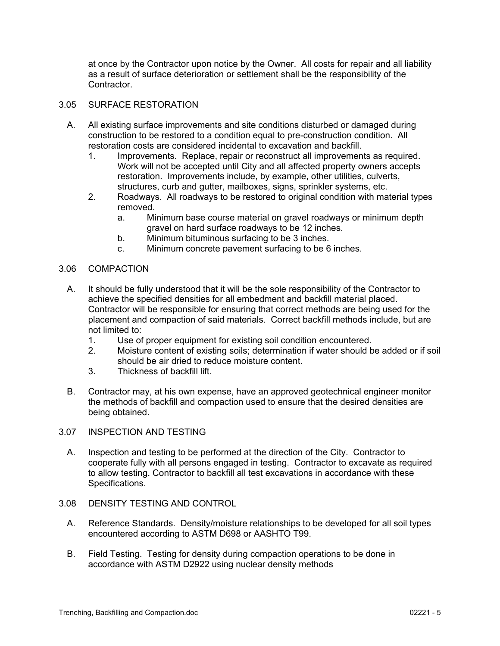at once by the Contractor upon notice by the Owner. All costs for repair and all liability as a result of surface deterioration or settlement shall be the responsibility of the **Contractor** 

### 3.05 SURFACE RESTORATION

- A. All existing surface improvements and site conditions disturbed or damaged during construction to be restored to a condition equal to pre-construction condition. All restoration costs are considered incidental to excavation and backfill.
	- 1. Improvements. Replace, repair or reconstruct all improvements as required. Work will not be accepted until City and all affected property owners accepts restoration. Improvements include, by example, other utilities, culverts, structures, curb and gutter, mailboxes, signs, sprinkler systems, etc.
	- 2. Roadways. All roadways to be restored to original condition with material types removed.
		- a. Minimum base course material on gravel roadways or minimum depth gravel on hard surface roadways to be 12 inches.
		- b. Minimum bituminous surfacing to be 3 inches.
		- c. Minimum concrete pavement surfacing to be 6 inches.

#### 3.06 COMPACTION

- A. It should be fully understood that it will be the sole responsibility of the Contractor to achieve the specified densities for all embedment and backfill material placed. Contractor will be responsible for ensuring that correct methods are being used for the placement and compaction of said materials. Correct backfill methods include, but are not limited to:
	- 1. Use of proper equipment for existing soil condition encountered.
	- 2. Moisture content of existing soils; determination if water should be added or if soil should be air dried to reduce moisture content.
	- 3. Thickness of backfill lift.
- B. Contractor may, at his own expense, have an approved geotechnical engineer monitor the methods of backfill and compaction used to ensure that the desired densities are being obtained.
- 3.07 INSPECTION AND TESTING
	- A. Inspection and testing to be performed at the direction of the City. Contractor to cooperate fully with all persons engaged in testing. Contractor to excavate as required to allow testing. Contractor to backfill all test excavations in accordance with these Specifications.
- 3.08 DENSITY TESTING AND CONTROL
	- A. Reference Standards. Density/moisture relationships to be developed for all soil types encountered according to ASTM D698 or AASHTO T99.
	- B. Field Testing. Testing for density during compaction operations to be done in accordance with ASTM D2922 using nuclear density methods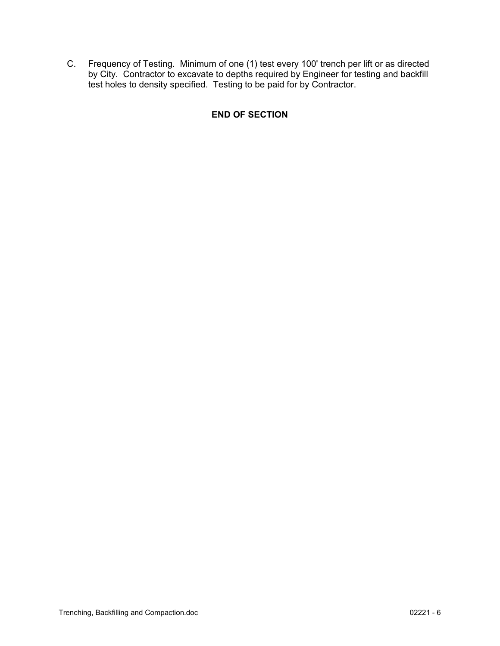C. Frequency of Testing. Minimum of one (1) test every 100' trench per lift or as directed by City. Contractor to excavate to depths required by Engineer for testing and backfill test holes to density specified. Testing to be paid for by Contractor.

# **END OF SECTION**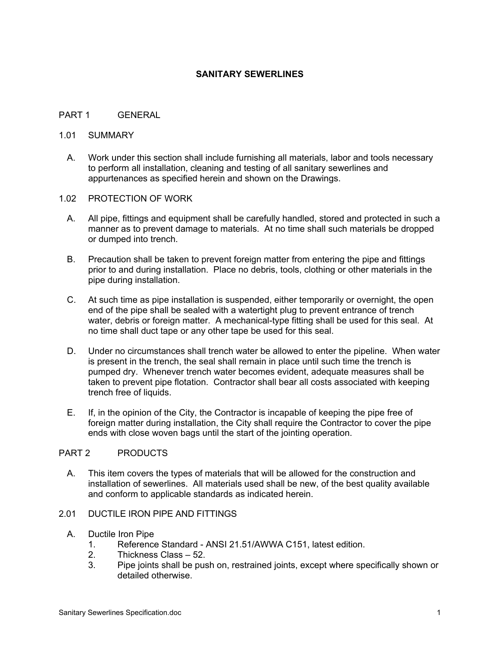### **SANITARY SEWERLINES**

#### PART 1 GENERAL

#### 1.01 SUMMARY

A. Work under this section shall include furnishing all materials, labor and tools necessary to perform all installation, cleaning and testing of all sanitary sewerlines and appurtenances as specified herein and shown on the Drawings.

#### 1.02 PROTECTION OF WORK

- A. All pipe, fittings and equipment shall be carefully handled, stored and protected in such a manner as to prevent damage to materials. At no time shall such materials be dropped or dumped into trench.
- B. Precaution shall be taken to prevent foreign matter from entering the pipe and fittings prior to and during installation. Place no debris, tools, clothing or other materials in the pipe during installation.
- C. At such time as pipe installation is suspended, either temporarily or overnight, the open end of the pipe shall be sealed with a watertight plug to prevent entrance of trench water, debris or foreign matter. A mechanical-type fitting shall be used for this seal. At no time shall duct tape or any other tape be used for this seal.
- D. Under no circumstances shall trench water be allowed to enter the pipeline. When water is present in the trench, the seal shall remain in place until such time the trench is pumped dry. Whenever trench water becomes evident, adequate measures shall be taken to prevent pipe flotation. Contractor shall bear all costs associated with keeping trench free of liquids.
- E. If, in the opinion of the City, the Contractor is incapable of keeping the pipe free of foreign matter during installation, the City shall require the Contractor to cover the pipe ends with close woven bags until the start of the jointing operation.

# PART 2 PRODUCTS

A. This item covers the types of materials that will be allowed for the construction and installation of sewerlines. All materials used shall be new, of the best quality available and conform to applicable standards as indicated herein.

# 2.01 DUCTILE IRON PIPE AND FITTINGS

#### A. Ductile Iron Pipe

- 1. Reference Standard ANSI 21.51/AWWA C151, latest edition.
- 2. Thickness Class 52.
- 3. Pipe joints shall be push on, restrained joints, except where specifically shown or detailed otherwise.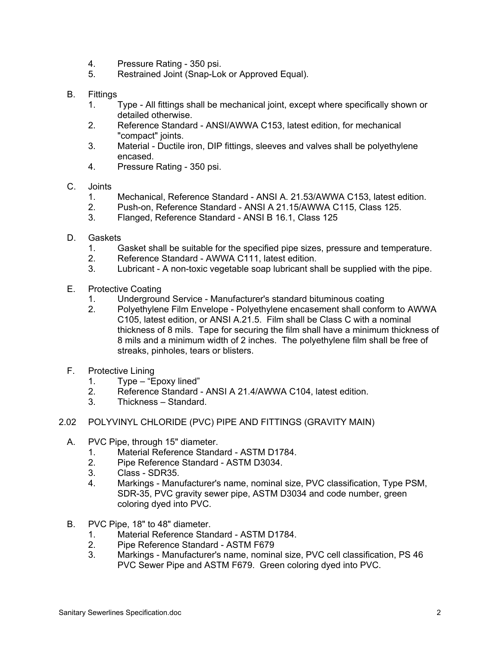- 4. Pressure Rating 350 psi.
- 5. Restrained Joint (Snap-Lok or Approved Equal).
- B. Fittings
	- 1. Type All fittings shall be mechanical joint, except where specifically shown or detailed otherwise.
	- 2. Reference Standard ANSI/AWWA C153, latest edition, for mechanical "compact" joints.
	- 3. Material Ductile iron, DIP fittings, sleeves and valves shall be polyethylene encased.
	- 4. Pressure Rating 350 psi.
- C. Joints
	- 1. Mechanical, Reference Standard ANSI A. 21.53/AWWA C153, latest edition.
	- 2. Push-on, Reference Standard ANSI A 21.15/AWWA C115, Class 125.
	- 3. Flanged, Reference Standard ANSI B 16.1, Class 125
- D. Gaskets
	- 1. Gasket shall be suitable for the specified pipe sizes, pressure and temperature.
	- 2. Reference Standard AWWA C111, latest edition.
	- 3. Lubricant A non-toxic vegetable soap lubricant shall be supplied with the pipe.
- E. Protective Coating
	- 1. Underground Service Manufacturer's standard bituminous coating
	- 2. Polyethylene Film Envelope Polyethylene encasement shall conform to AWWA C105, latest edition, or ANSI A.21.5. Film shall be Class C with a nominal thickness of 8 mils. Tape for securing the film shall have a minimum thickness of 8 mils and a minimum width of 2 inches. The polyethylene film shall be free of streaks, pinholes, tears or blisters.
- F. Protective Lining
	- 1. Type "Epoxy lined"<br>2. Reference Standard
	- Reference Standard ANSI A 21.4/AWWA C104, latest edition.
	- 3. Thickness Standard.
- 2.02 POLYVINYL CHLORIDE (PVC) PIPE AND FITTINGS (GRAVITY MAIN)
	- A. PVC Pipe, through 15" diameter.
		- 1. Material Reference Standard ASTM D1784.
		- 2. Pipe Reference Standard ASTM D3034.
		- 3. Class SDR35.
		- 4. Markings Manufacturer's name, nominal size, PVC classification, Type PSM, SDR-35, PVC gravity sewer pipe, ASTM D3034 and code number, green coloring dyed into PVC.
	- B. PVC Pipe, 18" to 48" diameter.
		- 1. Material Reference Standard ASTM D1784.
		- 2. Pipe Reference Standard ASTM F679
		- 3. Markings Manufacturer's name, nominal size, PVC cell classification, PS 46 PVC Sewer Pipe and ASTM F679. Green coloring dyed into PVC.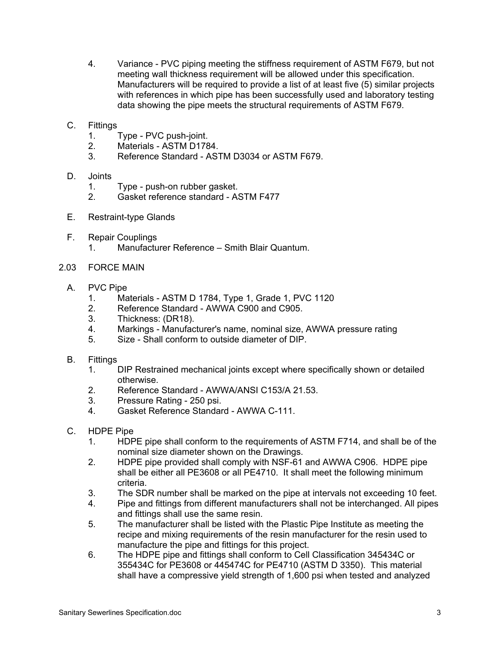- 4. Variance PVC piping meeting the stiffness requirement of ASTM F679, but not meeting wall thickness requirement will be allowed under this specification. Manufacturers will be required to provide a list of at least five (5) similar projects with references in which pipe has been successfully used and laboratory testing data showing the pipe meets the structural requirements of ASTM F679.
- C. Fittings
	- 1. Type PVC push-joint.
	- 2. Materials ASTM D1784.
	- 3. Reference Standard ASTM D3034 or ASTM F679.
- D. Joints
	- 1. Type push-on rubber gasket.
	- 2. Gasket reference standard ASTM F477
- E. Restraint-type Glands
- F. Repair Couplings
	- 1. Manufacturer Reference Smith Blair Quantum.
- 2.03 FORCE MAIN
	- A. PVC Pipe
		- 1. Materials ASTM D 1784, Type 1, Grade 1, PVC 1120
		- 2. Reference Standard AWWA C900 and C905.<br>3. Thickness: (DR18).
		- Thickness: (DR18).
		- 4. Markings Manufacturer's name, nominal size, AWWA pressure rating
		- 5. Size Shall conform to outside diameter of DIP.
	- B. Fittings
		- 1. DIP Restrained mechanical joints except where specifically shown or detailed otherwise.
		- 2. Reference Standard AWWA/ANSI C153/A 21.53.
		- 3. Pressure Rating 250 psi.
		- 4. Gasket Reference Standard AWWA C-111.
	- C. HDPE Pipe
		- 1. HDPE pipe shall conform to the requirements of ASTM F714, and shall be of the nominal size diameter shown on the Drawings.
		- 2. HDPE pipe provided shall comply with NSF-61 and AWWA C906. HDPE pipe shall be either all PE3608 or all PE4710. It shall meet the following minimum criteria.
		- 3. The SDR number shall be marked on the pipe at intervals not exceeding 10 feet.
		- 4. Pipe and fittings from different manufacturers shall not be interchanged. All pipes and fittings shall use the same resin.
		- 5. The manufacturer shall be listed with the Plastic Pipe Institute as meeting the recipe and mixing requirements of the resin manufacturer for the resin used to manufacture the pipe and fittings for this project.
		- 6. The HDPE pipe and fittings shall conform to Cell Classification 345434C or 355434C for PE3608 or 445474C for PE4710 (ASTM D 3350). This material shall have a compressive yield strength of 1,600 psi when tested and analyzed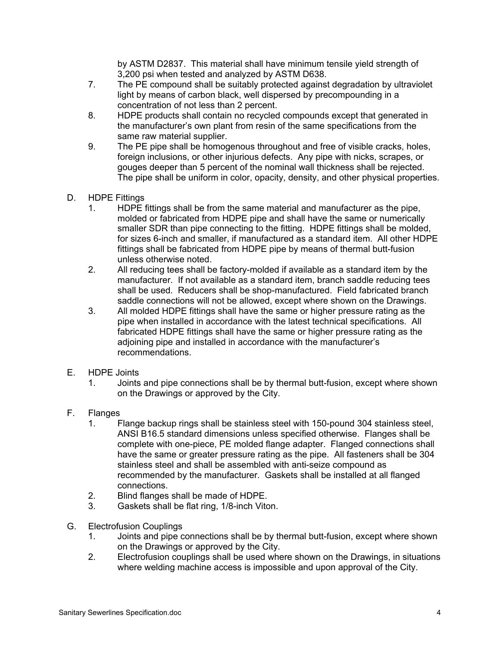by ASTM D2837. This material shall have minimum tensile yield strength of 3,200 psi when tested and analyzed by ASTM D638.

- 7. The PE compound shall be suitably protected against degradation by ultraviolet light by means of carbon black, well dispersed by precompounding in a concentration of not less than 2 percent.
- 8. HDPE products shall contain no recycled compounds except that generated in the manufacturer's own plant from resin of the same specifications from the same raw material supplier.
- 9. The PE pipe shall be homogenous throughout and free of visible cracks, holes, foreign inclusions, or other injurious defects. Any pipe with nicks, scrapes, or gouges deeper than 5 percent of the nominal wall thickness shall be rejected. The pipe shall be uniform in color, opacity, density, and other physical properties.
- D. HDPE Fittings
	- 1. HDPE fittings shall be from the same material and manufacturer as the pipe, molded or fabricated from HDPE pipe and shall have the same or numerically smaller SDR than pipe connecting to the fitting. HDPE fittings shall be molded, for sizes 6-inch and smaller, if manufactured as a standard item. All other HDPE fittings shall be fabricated from HDPE pipe by means of thermal butt-fusion unless otherwise noted.
	- 2. All reducing tees shall be factory-molded if available as a standard item by the manufacturer. If not available as a standard item, branch saddle reducing tees shall be used. Reducers shall be shop-manufactured. Field fabricated branch saddle connections will not be allowed, except where shown on the Drawings.
	- 3. All molded HDPE fittings shall have the same or higher pressure rating as the pipe when installed in accordance with the latest technical specifications. All fabricated HDPE fittings shall have the same or higher pressure rating as the adjoining pipe and installed in accordance with the manufacturer's recommendations.
- E. HDPE Joints
	- 1. Joints and pipe connections shall be by thermal butt-fusion, except where shown on the Drawings or approved by the City.
- F. Flanges
	- 1. Flange backup rings shall be stainless steel with 150-pound 304 stainless steel, ANSI B16.5 standard dimensions unless specified otherwise. Flanges shall be complete with one-piece, PE molded flange adapter. Flanged connections shall have the same or greater pressure rating as the pipe. All fasteners shall be 304 stainless steel and shall be assembled with anti-seize compound as recommended by the manufacturer. Gaskets shall be installed at all flanged connections.
	- 2. Blind flanges shall be made of HDPE.
	- 3. Gaskets shall be flat ring, 1/8-inch Viton.
- G. Electrofusion Couplings
	- 1. Joints and pipe connections shall be by thermal butt-fusion, except where shown on the Drawings or approved by the City.
	- 2. Electrofusion couplings shall be used where shown on the Drawings, in situations where welding machine access is impossible and upon approval of the City.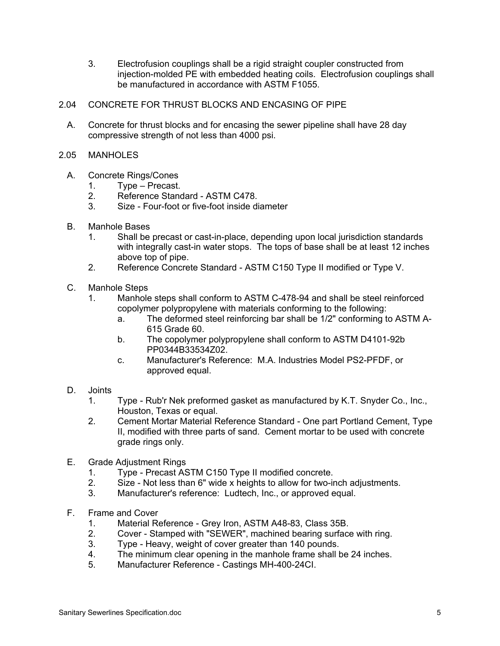- 3. Electrofusion couplings shall be a rigid straight coupler constructed from injection-molded PE with embedded heating coils. Electrofusion couplings shall be manufactured in accordance with ASTM F1055.
- 2.04 CONCRETE FOR THRUST BLOCKS AND ENCASING OF PIPE
	- A. Concrete for thrust blocks and for encasing the sewer pipeline shall have 28 day compressive strength of not less than 4000 psi.
- 2.05 MANHOLES
	- A. Concrete Rings/Cones
		- 1. Type Precast.
		- 2. Reference Standard ASTM C478.
		- 3. Size Four-foot or five-foot inside diameter
	- B. Manhole Bases
		- 1. Shall be precast or cast-in-place, depending upon local jurisdiction standards with integrally cast-in water stops. The tops of base shall be at least 12 inches above top of pipe.
		- 2. Reference Concrete Standard ASTM C150 Type II modified or Type V.
	- C. Manhole Steps
		- 1. Manhole steps shall conform to ASTM C-478-94 and shall be steel reinforced copolymer polypropylene with materials conforming to the following:
			- a. The deformed steel reinforcing bar shall be 1/2" conforming to ASTM A-615 Grade 60.
			- b. The copolymer polypropylene shall conform to ASTM D4101-92b PP0344B33534Z02.
			- c. Manufacturer's Reference: M.A. Industries Model PS2-PFDF, or approved equal.
	- D. Joints
		- 1. Type Rub'r Nek preformed gasket as manufactured by K.T. Snyder Co., Inc., Houston, Texas or equal.
		- 2. Cement Mortar Material Reference Standard One part Portland Cement, Type II, modified with three parts of sand. Cement mortar to be used with concrete grade rings only.
	- E. Grade Adjustment Rings
		- 1. Type Precast ASTM C150 Type II modified concrete.
		- 2. Size Not less than 6" wide x heights to allow for two-inch adjustments.
		- 3. Manufacturer's reference: Ludtech, Inc., or approved equal.
	- F. Frame and Cover
		- 1. Material Reference Grey Iron, ASTM A48-83, Class 35B.
		- 2. Cover Stamped with "SEWER", machined bearing surface with ring.
		- 3. Type Heavy, weight of cover greater than 140 pounds.
		- 4. The minimum clear opening in the manhole frame shall be 24 inches.
		- 5. Manufacturer Reference Castings MH-400-24CI.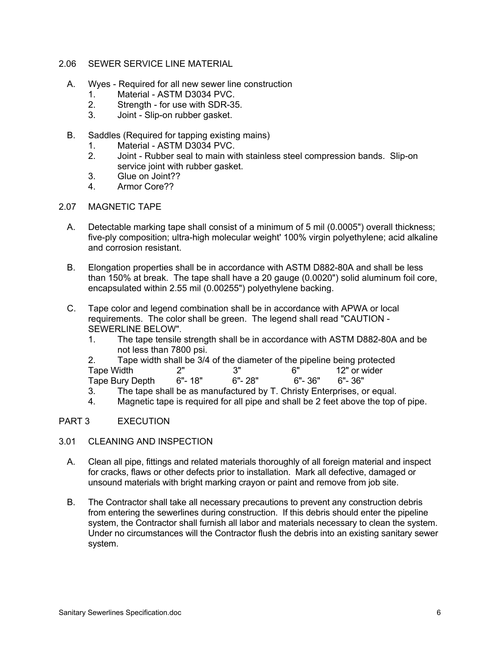- 2.06 SEWER SERVICE LINE MATERIAL
	- A. Wyes Required for all new sewer line construction
		- 1. Material ASTM D3034 PVC.
		- 2. Strength for use with SDR-35.
		- 3. Joint Slip-on rubber gasket.
	- B. Saddles (Required for tapping existing mains)
		- 1. Material ASTM D3034 PVC.
		- 2. Joint Rubber seal to main with stainless steel compression bands. Slip-on service joint with rubber gasket.
		- 3. Glue on Joint??
		- 4. Armor Core??
- 2.07 MAGNETIC TAPE
	- A. Detectable marking tape shall consist of a minimum of 5 mil (0.0005") overall thickness; five-ply composition; ultra-high molecular weight' 100% virgin polyethylene; acid alkaline and corrosion resistant.
	- B. Elongation properties shall be in accordance with ASTM D882-80A and shall be less than 150% at break. The tape shall have a 20 gauge (0.0020") solid aluminum foil core, encapsulated within 2.55 mil (0.00255") polyethylene backing.
	- C. Tape color and legend combination shall be in accordance with APWA or local requirements. The color shall be green. The legend shall read "CAUTION - SEWERLINE BELOW".
		- 1. The tape tensile strength shall be in accordance with ASTM D882-80A and be not less than 7800 psi.
		- 2. Tape width shall be 3/4 of the diameter of the pipeline being protected Tape Width  $2''$   $3''$   $6''$   $6''$   $12''$  or wider<br>Tape Burv Depth  $6''$ - 18"  $6''$ - 28"  $6''$ - 36"  $6''$ - 36" Tape Bury Depth 6"- 18" 6"- 28" 6"- 36" 6"- 36"
		- 3. The tape shall be as manufactured by T. Christy Enterprises, or equal.
		- 4. Magnetic tape is required for all pipe and shall be 2 feet above the top of pipe.

### PART 3 EXECUTION

- 3.01 CLEANING AND INSPECTION
	- A. Clean all pipe, fittings and related materials thoroughly of all foreign material and inspect for cracks, flaws or other defects prior to installation. Mark all defective, damaged or unsound materials with bright marking crayon or paint and remove from job site.
	- B. The Contractor shall take all necessary precautions to prevent any construction debris from entering the sewerlines during construction. If this debris should enter the pipeline system, the Contractor shall furnish all labor and materials necessary to clean the system. Under no circumstances will the Contractor flush the debris into an existing sanitary sewer system.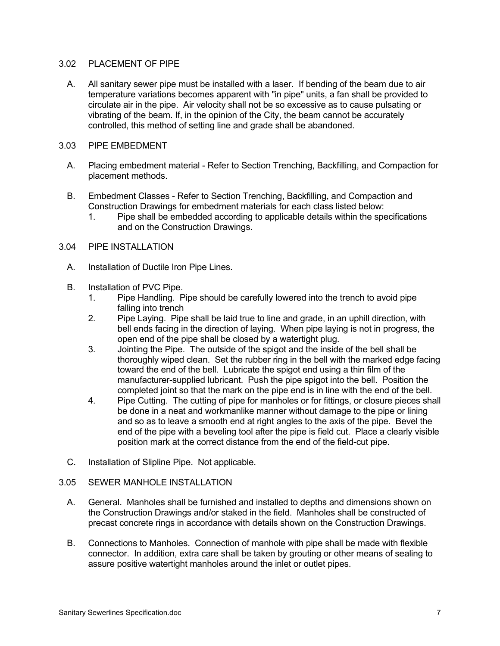#### 3.02 PLACEMENT OF PIPE

A. All sanitary sewer pipe must be installed with a laser. If bending of the beam due to air temperature variations becomes apparent with "in pipe" units, a fan shall be provided to circulate air in the pipe. Air velocity shall not be so excessive as to cause pulsating or vibrating of the beam. If, in the opinion of the City, the beam cannot be accurately controlled, this method of setting line and grade shall be abandoned.

### 3.03 PIPE EMBEDMENT

- A. Placing embedment material Refer to Section Trenching, Backfilling, and Compaction for placement methods.
- B. Embedment Classes Refer to Section Trenching, Backfilling, and Compaction and Construction Drawings for embedment materials for each class listed below:
	- 1. Pipe shall be embedded according to applicable details within the specifications and on the Construction Drawings.
- 3.04 PIPE INSTALLATION
	- A. Installation of Ductile Iron Pipe Lines.
	- B. Installation of PVC Pipe.
		- 1. Pipe Handling. Pipe should be carefully lowered into the trench to avoid pipe falling into trench
		- 2. Pipe Laying. Pipe shall be laid true to line and grade, in an uphill direction, with bell ends facing in the direction of laying. When pipe laying is not in progress, the open end of the pipe shall be closed by a watertight plug.
		- 3. Jointing the Pipe. The outside of the spigot and the inside of the bell shall be thoroughly wiped clean. Set the rubber ring in the bell with the marked edge facing toward the end of the bell. Lubricate the spigot end using a thin film of the manufacturer-supplied lubricant. Push the pipe spigot into the bell. Position the completed joint so that the mark on the pipe end is in line with the end of the bell.
		- 4. Pipe Cutting. The cutting of pipe for manholes or for fittings, or closure pieces shall be done in a neat and workmanlike manner without damage to the pipe or lining and so as to leave a smooth end at right angles to the axis of the pipe. Bevel the end of the pipe with a beveling tool after the pipe is field cut. Place a clearly visible position mark at the correct distance from the end of the field-cut pipe.
	- C. Installation of Slipline Pipe. Not applicable.

# 3.05 SEWER MANHOLE INSTALLATION

- A. General. Manholes shall be furnished and installed to depths and dimensions shown on the Construction Drawings and/or staked in the field. Manholes shall be constructed of precast concrete rings in accordance with details shown on the Construction Drawings.
- B. Connections to Manholes. Connection of manhole with pipe shall be made with flexible connector. In addition, extra care shall be taken by grouting or other means of sealing to assure positive watertight manholes around the inlet or outlet pipes.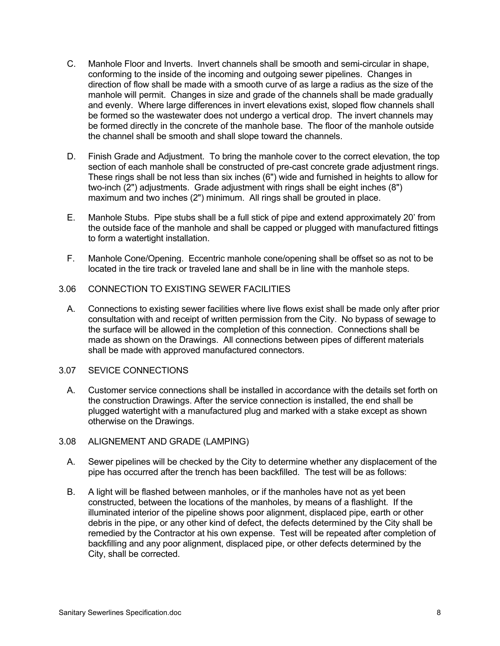- C. Manhole Floor and Inverts. Invert channels shall be smooth and semi-circular in shape, conforming to the inside of the incoming and outgoing sewer pipelines. Changes in direction of flow shall be made with a smooth curve of as large a radius as the size of the manhole will permit. Changes in size and grade of the channels shall be made gradually and evenly. Where large differences in invert elevations exist, sloped flow channels shall be formed so the wastewater does not undergo a vertical drop. The invert channels may be formed directly in the concrete of the manhole base. The floor of the manhole outside the channel shall be smooth and shall slope toward the channels.
- D. Finish Grade and Adjustment. To bring the manhole cover to the correct elevation, the top section of each manhole shall be constructed of pre-cast concrete grade adjustment rings. These rings shall be not less than six inches (6") wide and furnished in heights to allow for two-inch (2") adjustments. Grade adjustment with rings shall be eight inches (8") maximum and two inches (2") minimum. All rings shall be grouted in place.
- E. Manhole Stubs. Pipe stubs shall be a full stick of pipe and extend approximately 20' from the outside face of the manhole and shall be capped or plugged with manufactured fittings to form a watertight installation.
- F. Manhole Cone/Opening. Eccentric manhole cone/opening shall be offset so as not to be located in the tire track or traveled lane and shall be in line with the manhole steps.

### 3.06 CONNECTION TO EXISTING SEWER FACILITIES

- A. Connections to existing sewer facilities where live flows exist shall be made only after prior consultation with and receipt of written permission from the City. No bypass of sewage to the surface will be allowed in the completion of this connection. Connections shall be made as shown on the Drawings. All connections between pipes of different materials shall be made with approved manufactured connectors.
- 3.07 SEVICE CONNECTIONS
	- A. Customer service connections shall be installed in accordance with the details set forth on the construction Drawings. After the service connection is installed, the end shall be plugged watertight with a manufactured plug and marked with a stake except as shown otherwise on the Drawings.
- 3.08 ALIGNEMENT AND GRADE (LAMPING)
	- A. Sewer pipelines will be checked by the City to determine whether any displacement of the pipe has occurred after the trench has been backfilled. The test will be as follows:
	- B. A light will be flashed between manholes, or if the manholes have not as yet been constructed, between the locations of the manholes, by means of a flashlight. If the illuminated interior of the pipeline shows poor alignment, displaced pipe, earth or other debris in the pipe, or any other kind of defect, the defects determined by the City shall be remedied by the Contractor at his own expense. Test will be repeated after completion of backfilling and any poor alignment, displaced pipe, or other defects determined by the City, shall be corrected.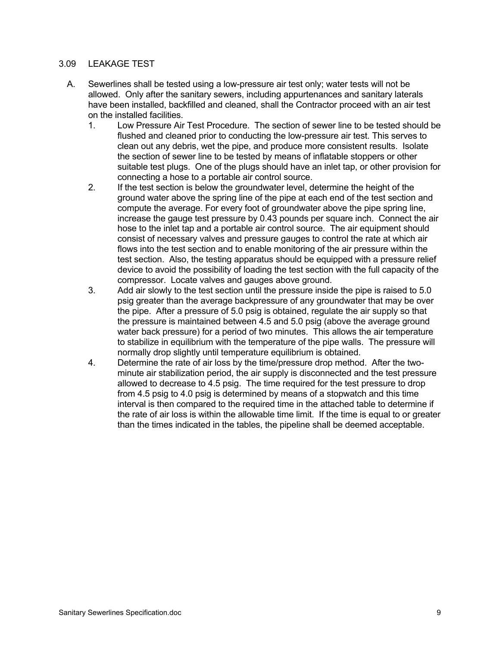### 3.09 LEAKAGE TEST

- A. Sewerlines shall be tested using a low-pressure air test only; water tests will not be allowed. Only after the sanitary sewers, including appurtenances and sanitary laterals have been installed, backfilled and cleaned, shall the Contractor proceed with an air test on the installed facilities.
	- 1. Low Pressure Air Test Procedure. The section of sewer line to be tested should be flushed and cleaned prior to conducting the low-pressure air test. This serves to clean out any debris, wet the pipe, and produce more consistent results. Isolate the section of sewer line to be tested by means of inflatable stoppers or other suitable test plugs. One of the plugs should have an inlet tap, or other provision for connecting a hose to a portable air control source.
	- 2. If the test section is below the groundwater level, determine the height of the ground water above the spring line of the pipe at each end of the test section and compute the average. For every foot of groundwater above the pipe spring line, increase the gauge test pressure by 0.43 pounds per square inch. Connect the air hose to the inlet tap and a portable air control source. The air equipment should consist of necessary valves and pressure gauges to control the rate at which air flows into the test section and to enable monitoring of the air pressure within the test section. Also, the testing apparatus should be equipped with a pressure relief device to avoid the possibility of loading the test section with the full capacity of the compressor. Locate valves and gauges above ground.
	- 3. Add air slowly to the test section until the pressure inside the pipe is raised to 5.0 psig greater than the average backpressure of any groundwater that may be over the pipe. After a pressure of 5.0 psig is obtained, regulate the air supply so that the pressure is maintained between 4.5 and 5.0 psig (above the average ground water back pressure) for a period of two minutes. This allows the air temperature to stabilize in equilibrium with the temperature of the pipe walls. The pressure will normally drop slightly until temperature equilibrium is obtained.
	- 4. Determine the rate of air loss by the time/pressure drop method. After the twominute air stabilization period, the air supply is disconnected and the test pressure allowed to decrease to 4.5 psig. The time required for the test pressure to drop from 4.5 psig to 4.0 psig is determined by means of a stopwatch and this time interval is then compared to the required time in the attached table to determine if the rate of air loss is within the allowable time limit. If the time is equal to or greater than the times indicated in the tables, the pipeline shall be deemed acceptable.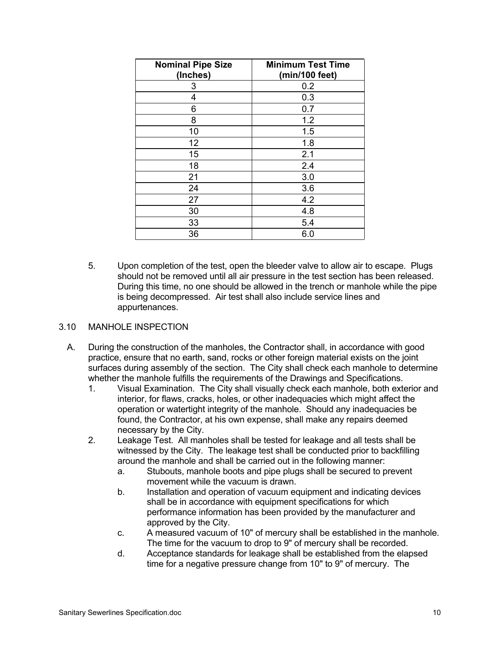| <b>Nominal Pipe Size</b><br>(Inches) | <b>Minimum Test Time</b><br>(min/100 feet) |
|--------------------------------------|--------------------------------------------|
| 3                                    | 0.2                                        |
| 4                                    | 0.3                                        |
| 6                                    | 0.7                                        |
| 8                                    | 1.2                                        |
| 10                                   | 1.5                                        |
| 12                                   | 1.8                                        |
| 15                                   | 2.1                                        |
| 18                                   | 2.4                                        |
| 21                                   | 3.0                                        |
| 24                                   | 3.6                                        |
| 27                                   | 4.2                                        |
| 30                                   | 4.8                                        |
| 33                                   | 5.4                                        |
| 36                                   | 6.0                                        |

5. Upon completion of the test, open the bleeder valve to allow air to escape. Plugs should not be removed until all air pressure in the test section has been released. During this time, no one should be allowed in the trench or manhole while the pipe is being decompressed. Air test shall also include service lines and appurtenances.

### 3.10 MANHOLE INSPECTION

- A. During the construction of the manholes, the Contractor shall, in accordance with good practice, ensure that no earth, sand, rocks or other foreign material exists on the joint surfaces during assembly of the section. The City shall check each manhole to determine whether the manhole fulfills the requirements of the Drawings and Specifications.
	- 1. Visual Examination. The City shall visually check each manhole, both exterior and interior, for flaws, cracks, holes, or other inadequacies which might affect the operation or watertight integrity of the manhole. Should any inadequacies be found, the Contractor, at his own expense, shall make any repairs deemed necessary by the City.
	- 2. Leakage Test. All manholes shall be tested for leakage and all tests shall be witnessed by the City. The leakage test shall be conducted prior to backfilling around the manhole and shall be carried out in the following manner:
		- a. Stubouts, manhole boots and pipe plugs shall be secured to prevent movement while the vacuum is drawn.
		- b. Installation and operation of vacuum equipment and indicating devices shall be in accordance with equipment specifications for which performance information has been provided by the manufacturer and approved by the City.
		- c. A measured vacuum of 10" of mercury shall be established in the manhole. The time for the vacuum to drop to 9" of mercury shall be recorded.
		- d. Acceptance standards for leakage shall be established from the elapsed time for a negative pressure change from 10" to 9" of mercury. The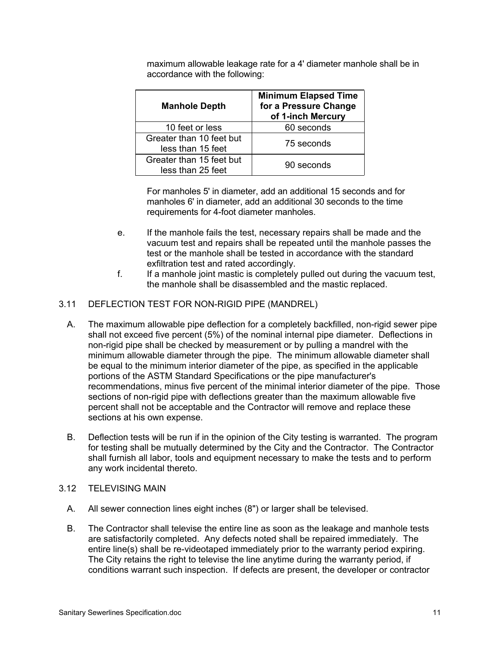| <b>Manhole Depth</b>                          | <b>Minimum Elapsed Time</b><br>for a Pressure Change<br>of 1-inch Mercury |
|-----------------------------------------------|---------------------------------------------------------------------------|
| 10 feet or less                               | 60 seconds                                                                |
| Greater than 10 feet but<br>less than 15 feet | 75 seconds                                                                |
| Greater than 15 feet but<br>less than 25 feet | 90 seconds                                                                |

maximum allowable leakage rate for a 4' diameter manhole shall be in accordance with the following:

For manholes 5' in diameter, add an additional 15 seconds and for manholes 6' in diameter, add an additional 30 seconds to the time requirements for 4-foot diameter manholes.

- e. If the manhole fails the test, necessary repairs shall be made and the vacuum test and repairs shall be repeated until the manhole passes the test or the manhole shall be tested in accordance with the standard exfiltration test and rated accordingly.
- f. If a manhole joint mastic is completely pulled out during the vacuum test, the manhole shall be disassembled and the mastic replaced.

# 3.11 DEFLECTION TEST FOR NON-RIGID PIPE (MANDREL)

- A. The maximum allowable pipe deflection for a completely backfilled, non-rigid sewer pipe shall not exceed five percent (5%) of the nominal internal pipe diameter. Deflections in non-rigid pipe shall be checked by measurement or by pulling a mandrel with the minimum allowable diameter through the pipe. The minimum allowable diameter shall be equal to the minimum interior diameter of the pipe, as specified in the applicable portions of the ASTM Standard Specifications or the pipe manufacturer's recommendations, minus five percent of the minimal interior diameter of the pipe. Those sections of non-rigid pipe with deflections greater than the maximum allowable five percent shall not be acceptable and the Contractor will remove and replace these sections at his own expense.
- B. Deflection tests will be run if in the opinion of the City testing is warranted. The program for testing shall be mutually determined by the City and the Contractor. The Contractor shall furnish all labor, tools and equipment necessary to make the tests and to perform any work incidental thereto.
- 3.12 TELEVISING MAIN
	- A. All sewer connection lines eight inches (8") or larger shall be televised.
	- B. The Contractor shall televise the entire line as soon as the leakage and manhole tests are satisfactorily completed. Any defects noted shall be repaired immediately. The entire line(s) shall be re-videotaped immediately prior to the warranty period expiring. The City retains the right to televise the line anytime during the warranty period, if conditions warrant such inspection. If defects are present, the developer or contractor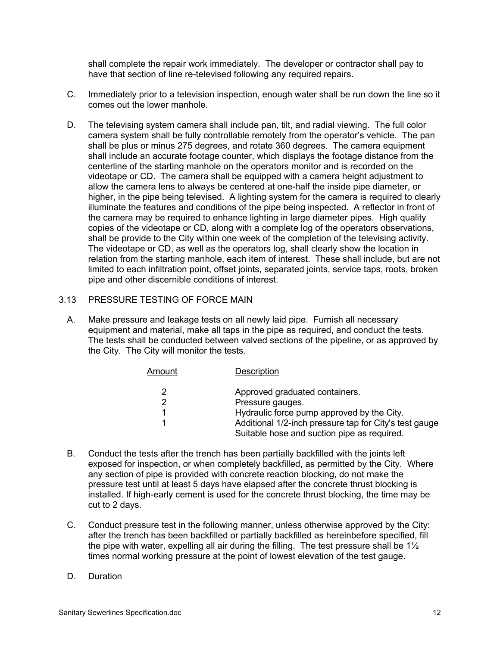shall complete the repair work immediately. The developer or contractor shall pay to have that section of line re-televised following any required repairs.

- C. Immediately prior to a television inspection, enough water shall be run down the line so it comes out the lower manhole.
- D. The televising system camera shall include pan, tilt, and radial viewing. The full color camera system shall be fully controllable remotely from the operator's vehicle. The pan shall be plus or minus 275 degrees, and rotate 360 degrees. The camera equipment shall include an accurate footage counter, which displays the footage distance from the centerline of the starting manhole on the operators monitor and is recorded on the videotape or CD. The camera shall be equipped with a camera height adjustment to allow the camera lens to always be centered at one-half the inside pipe diameter, or higher, in the pipe being televised. A lighting system for the camera is required to clearly illuminate the features and conditions of the pipe being inspected. A reflector in front of the camera may be required to enhance lighting in large diameter pipes. High quality copies of the videotape or CD, along with a complete log of the operators observations, shall be provide to the City within one week of the completion of the televising activity. The videotape or CD, as well as the operators log, shall clearly show the location in relation from the starting manhole, each item of interest. These shall include, but are not limited to each infiltration point, offset joints, separated joints, service taps, roots, broken pipe and other discernible conditions of interest.
- 3.13 PRESSURE TESTING OF FORCE MAIN
	- A. Make pressure and leakage tests on all newly laid pipe. Furnish all necessary equipment and material, make all taps in the pipe as required, and conduct the tests. The tests shall be conducted between valved sections of the pipeline, or as approved by the City. The City will monitor the tests.

| Amount | Description                                            |
|--------|--------------------------------------------------------|
| 2      | Approved graduated containers.                         |
| 2      | Pressure gauges.                                       |
|        | Hydraulic force pump approved by the City.             |
|        | Additional 1/2-inch pressure tap for City's test gauge |
|        | Suitable hose and suction pipe as required.            |

- B. Conduct the tests after the trench has been partially backfilled with the joints left exposed for inspection, or when completely backfilled, as permitted by the City. Where any section of pipe is provided with concrete reaction blocking, do not make the pressure test until at least 5 days have elapsed after the concrete thrust blocking is installed. If high-early cement is used for the concrete thrust blocking, the time may be cut to 2 days.
- C. Conduct pressure test in the following manner, unless otherwise approved by the City: after the trench has been backfilled or partially backfilled as hereinbefore specified, fill the pipe with water, expelling all air during the filling. The test pressure shall be  $1\frac{1}{2}$ times normal working pressure at the point of lowest elevation of the test gauge.
- D. Duration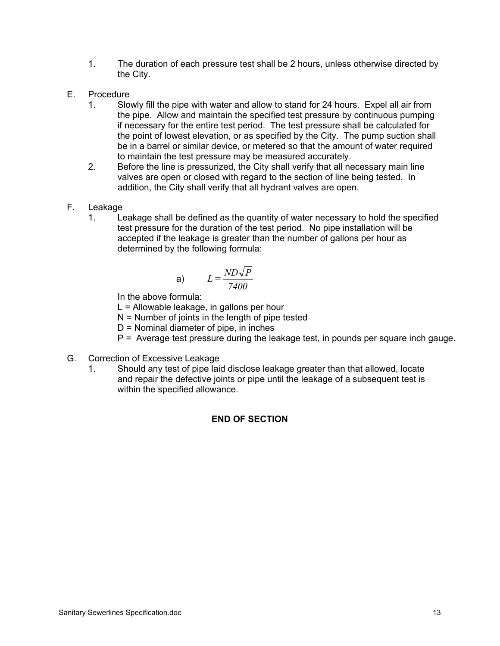- 1. The duration of each pressure test shall be 2 hours, unless otherwise directed by the City.
- E. Procedure
	- 1. Slowly fill the pipe with water and allow to stand for 24 hours. Expel all air from the pipe. Allow and maintain the specified test pressure by continuous pumping if necessary for the entire test period. The test pressure shall be calculated for the point of lowest elevation, or as specified by the City. The pump suction shall be in a barrel or similar device, or metered so that the amount of water required to maintain the test pressure may be measured accurately.
	- 2. Before the line is pressurized, the City shall verify that all necessary main line valves are open or closed with regard to the section of line being tested. In addition, the City shall verify that all hydrant valves are open.
- F. Leakage
	- 1. Leakage shall be defined as the quantity of water necessary to hold the specified test pressure for the duration of the test period. No pipe installation will be accepted if the leakage is greater than the number of gallons per hour as determined by the following formula:

$$
L = \frac{ND\sqrt{P}}{7400}
$$

In the above formula:

L = Allowable leakage, in gallons per hour

 $N =$  Number of joints in the length of pipe tested

D = Nominal diameter of pipe, in inches

- P = Average test pressure during the leakage test, in pounds per square inch gauge.
- G. Correction of Excessive Leakage
	- 1. Should any test of pipe laid disclose leakage greater than that allowed, locate and repair the defective joints or pipe until the leakage of a subsequent test is within the specified allowance.

### **END OF SECTION**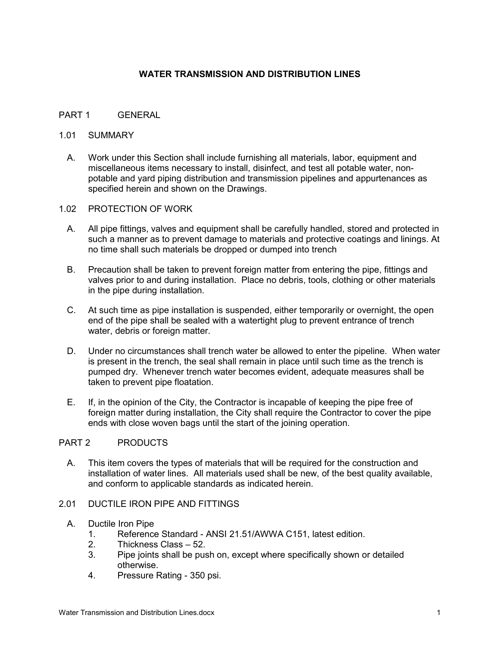# **WATER TRANSMISSION AND DISTRIBUTION LINES**

### PART 1 GENERAL

#### 1.01 SUMMARY

- A. Work under this Section shall include furnishing all materials, labor, equipment and miscellaneous items necessary to install, disinfect, and test all potable water, nonpotable and yard piping distribution and transmission pipelines and appurtenances as specified herein and shown on the Drawings.
- 1.02 PROTECTION OF WORK
	- A. All pipe fittings, valves and equipment shall be carefully handled, stored and protected in such a manner as to prevent damage to materials and protective coatings and linings. At no time shall such materials be dropped or dumped into trench
	- B. Precaution shall be taken to prevent foreign matter from entering the pipe, fittings and valves prior to and during installation. Place no debris, tools, clothing or other materials in the pipe during installation.
	- C. At such time as pipe installation is suspended, either temporarily or overnight, the open end of the pipe shall be sealed with a watertight plug to prevent entrance of trench water, debris or foreign matter.
	- D. Under no circumstances shall trench water be allowed to enter the pipeline. When water is present in the trench, the seal shall remain in place until such time as the trench is pumped dry. Whenever trench water becomes evident, adequate measures shall be taken to prevent pipe floatation.
	- E. If, in the opinion of the City, the Contractor is incapable of keeping the pipe free of foreign matter during installation, the City shall require the Contractor to cover the pipe ends with close woven bags until the start of the joining operation.

### PART 2 PRODUCTS

- A. This item covers the types of materials that will be required for the construction and installation of water lines. All materials used shall be new, of the best quality available, and conform to applicable standards as indicated herein.
- 2.01 DUCTILE IRON PIPE AND FITTINGS
	- A. Ductile Iron Pipe
		- 1. Reference Standard ANSI 21.51/AWWA C151, latest edition.
		- 2. Thickness Class 52.
		- 3. Pipe joints shall be push on, except where specifically shown or detailed otherwise.
		- 4. Pressure Rating 350 psi.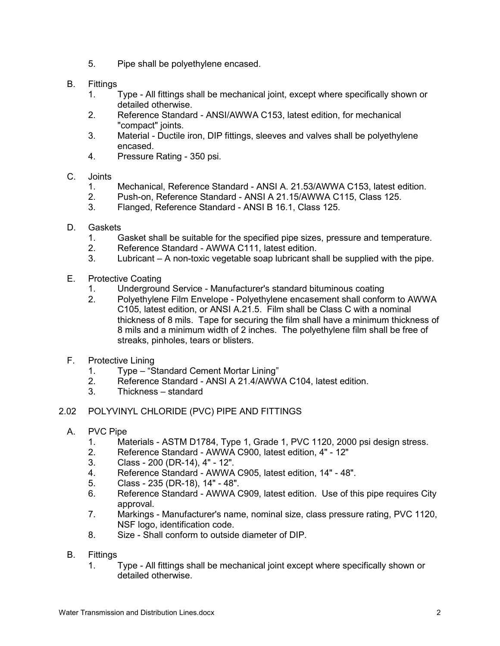- 5. Pipe shall be polyethylene encased.
- B. Fittings
	- 1. Type All fittings shall be mechanical joint, except where specifically shown or detailed otherwise.
	- 2. Reference Standard ANSI/AWWA C153, latest edition, for mechanical "compact" joints.
	- 3. Material Ductile iron, DIP fittings, sleeves and valves shall be polyethylene encased.
	- 4. Pressure Rating 350 psi.
- C. Joints
	- 1. Mechanical, Reference Standard ANSI A. 21.53/AWWA C153, latest edition.
	- 2. Push-on, Reference Standard ANSI A 21.15/AWWA C115, Class 125.
	- 3. Flanged, Reference Standard ANSI B 16.1, Class 125.
- D. Gaskets
	- 1. Gasket shall be suitable for the specified pipe sizes, pressure and temperature.
	- 2. Reference Standard AWWA C111, latest edition.
	- 3. Lubricant A non-toxic vegetable soap lubricant shall be supplied with the pipe.
- E. Protective Coating
	- 1. Underground Service Manufacturer's standard bituminous coating
	- 2. Polyethylene Film Envelope Polyethylene encasement shall conform to AWWA C105, latest edition, or ANSI A.21.5. Film shall be Class C with a nominal thickness of 8 mils. Tape for securing the film shall have a minimum thickness of 8 mils and a minimum width of 2 inches. The polyethylene film shall be free of streaks, pinholes, tears or blisters.
- F. Protective Lining
	- 1. Type "Standard Cement Mortar Lining"
	- 2. Reference Standard ANSI A 21.4/AWWA C104, latest edition.
	- 3. Thickness standard
- 2.02 POLYVINYL CHLORIDE (PVC) PIPE AND FITTINGS
	- A. PVC Pipe
		- 1. Materials ASTM D1784, Type 1, Grade 1, PVC 1120, 2000 psi design stress.
		- 2. Reference Standard AWWA C900, latest edition, 4" 12"
		- 3. Class 200 (DR-14), 4" 12".
		- 4. Reference Standard AWWA C905, latest edition, 14" 48".
		- 5. Class 235 (DR-18), 14" 48".
		- 6. Reference Standard AWWA C909, latest edition. Use of this pipe requires City approval.
		- 7. Markings Manufacturer's name, nominal size, class pressure rating, PVC 1120, NSF logo, identification code.
		- 8. Size Shall conform to outside diameter of DIP.
	- B. Fittings
		- 1. Type All fittings shall be mechanical joint except where specifically shown or detailed otherwise.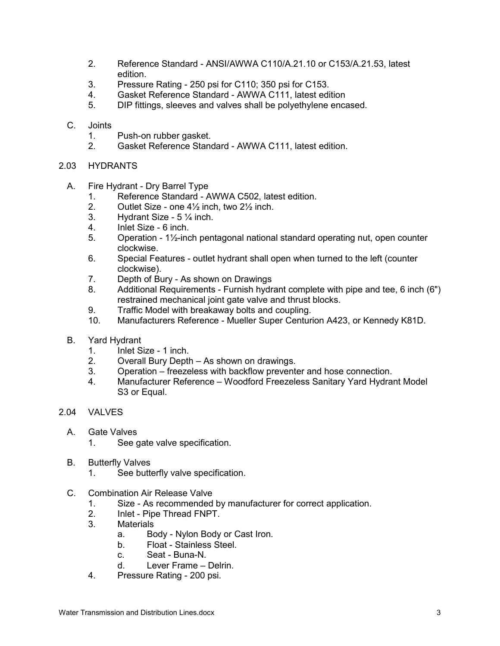- 2. Reference Standard ANSI/AWWA C110/A.21.10 or C153/A.21.53, latest edition.
- 3. Pressure Rating 250 psi for C110; 350 psi for C153.
- 4. Gasket Reference Standard AWWA C111, latest edition
- 5. DIP fittings, sleeves and valves shall be polyethylene encased.
- C. Joints
	- 1. Push-on rubber gasket.
	- 2. Gasket Reference Standard AWWA C111, latest edition.
- 2.03 HYDRANTS
	- A. Fire Hydrant Dry Barrel Type
		- 1. Reference Standard AWWA C502, latest edition.<br>2. Outlet Size one  $4\frac{1}{2}$  inch. two  $2\frac{1}{2}$  inch.
		- Outlet Size one  $4\frac{1}{2}$  inch, two  $2\frac{1}{2}$  inch.
		- 3. Hydrant Size 5 ¼ inch.
		- 4. Inlet Size 6 inch.
		- 5. Operation 1½-inch pentagonal national standard operating nut, open counter clockwise.
		- 6. Special Features outlet hydrant shall open when turned to the left (counter clockwise).
		- 7. Depth of Bury As shown on Drawings
		- 8. Additional Requirements Furnish hydrant complete with pipe and tee, 6 inch (6") restrained mechanical joint gate valve and thrust blocks.
		- 9. Traffic Model with breakaway bolts and coupling.
		- 10. Manufacturers Reference Mueller Super Centurion A423, or Kennedy K81D.
	- B. Yard Hydrant
		- 1. Inlet Size 1 inch.
		- 2. Overall Bury Depth As shown on drawings.
		- 3. Operation freezeless with backflow preventer and hose connection.
		- 4. Manufacturer Reference Woodford Freezeless Sanitary Yard Hydrant Model S<sub>3</sub> or Equal.
- 2.04 VALVES
	- A. Gate Valves
		- 1. See gate valve specification.
	- B. Butterfly Valves
		- 1. See butterfly valve specification.
	- C. Combination Air Release Valve
		- 1. Size As recommended by manufacturer for correct application.
		- 2. Inlet Pipe Thread FNPT.
		- 3. Materials
			- a. Body Nylon Body or Cast Iron.
			- b. Float Stainless Steel.
			- c. Seat Buna-N.
			- d. Lever Frame Delrin.
		- 4. Pressure Rating 200 psi.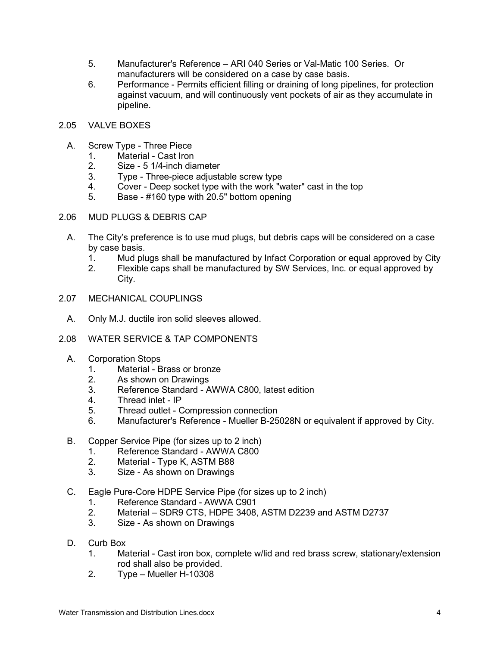- 5. Manufacturer's Reference ARI 040 Series or Val-Matic 100 Series. Or manufacturers will be considered on a case by case basis.
- 6. Performance Permits efficient filling or draining of long pipelines, for protection against vacuum, and will continuously vent pockets of air as they accumulate in pipeline.
- 2.05 VALVE BOXES
	- A. Screw Type Three Piece
		- 1. Material Cast Iron
		- 2. Size 5 1/4-inch diameter
		- 3. Type Three-piece adjustable screw type
		- 4. Cover Deep socket type with the work "water" cast in the top
		- 5. Base #160 type with 20.5" bottom opening
- 2.06 MUD PLUGS & DEBRIS CAP
	- A. The City's preference is to use mud plugs, but debris caps will be considered on a case by case basis.
		- 1. Mud plugs shall be manufactured by Infact Corporation or equal approved by City
		- 2. Flexible caps shall be manufactured by SW Services, Inc. or equal approved by City.
- 2.07 MECHANICAL COUPLINGS
	- A. Only M.J. ductile iron solid sleeves allowed.
- 2.08 WATER SERVICE & TAP COMPONENTS
	- A. Corporation Stops
		- 1. Material Brass or bronze
		- 2. As shown on Drawings
		- 3. Reference Standard AWWA C800, latest edition
		- 4. Thread inlet IP
		- 5. Thread outlet Compression connection
		- 6. Manufacturer's Reference Mueller B-25028N or equivalent if approved by City.
	- B. Copper Service Pipe (for sizes up to 2 inch)
		- 1. Reference Standard AWWA C800
		- 2. Material Type K, ASTM B88
		- 3. Size As shown on Drawings
	- C. Eagle Pure-Core HDPE Service Pipe (for sizes up to 2 inch)
		- 1. Reference Standard AWWA C901<br>2. Material SDR9 CTS. HDPE 3408.
		- Material SDR9 CTS, HDPE 3408, ASTM D2239 and ASTM D2737
		- 3. Size As shown on Drawings
	- D. Curb Box
		- 1. Material Cast iron box, complete w/lid and red brass screw, stationary/extension rod shall also be provided.
		- 2. Type Mueller H-10308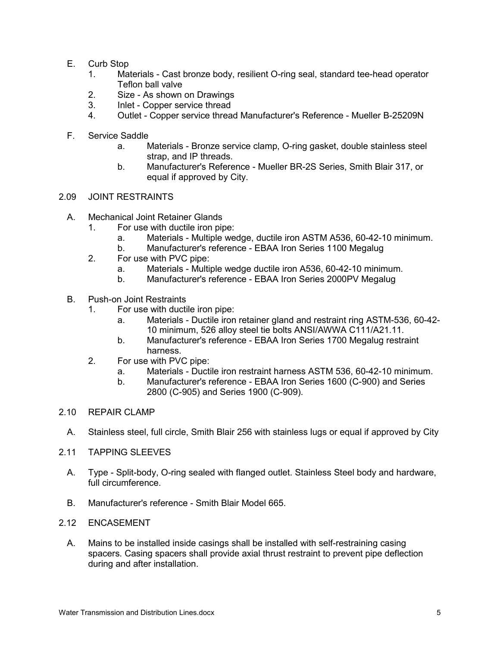- E. Curb Stop
	- 1. Materials Cast bronze body, resilient O-ring seal, standard tee-head operator Teflon ball valve
	- 2. Size As shown on Drawings
	- 3. Inlet Copper service thread
	- 4. Outlet Copper service thread Manufacturer's Reference Mueller B-25209N
- F. Service Saddle
	- a. Materials Bronze service clamp, O-ring gasket, double stainless steel strap, and IP threads.
	- b. Manufacturer's Reference Mueller BR-2S Series, Smith Blair 317, or equal if approved by City.
- 2.09 JOINT RESTRAINTS
	- A. Mechanical Joint Retainer Glands
		- 1. For use with ductile iron pipe:
			- a. Materials Multiple wedge, ductile iron ASTM A536, 60-42-10 minimum.
			- b. Manufacturer's reference EBAA Iron Series 1100 Megalug
			- 2. For use with PVC pipe:
				- a. Materials Multiple wedge ductile iron A536, 60-42-10 minimum.
				- b. Manufacturer's reference EBAA Iron Series 2000PV Megalug
	- B. Push-on Joint Restraints
		- 1. For use with ductile iron pipe:
			- a. Materials Ductile iron retainer gland and restraint ring ASTM-536, 60-42- 10 minimum, 526 alloy steel tie bolts ANSI/AWWA C111/A21.11.
			- b. Manufacturer's reference EBAA Iron Series 1700 Megalug restraint harness.
		- 2. For use with PVC pipe:
			- a. Materials Ductile iron restraint harness ASTM 536, 60-42-10 minimum.
			- b. Manufacturer's reference EBAA Iron Series 1600 (C-900) and Series 2800 (C-905) and Series 1900 (C-909).
- 2.10 REPAIR CLAMP
	- A. Stainless steel, full circle, Smith Blair 256 with stainless lugs or equal if approved by City
- 2.11 TAPPING SLEEVES
	- A. Type Split-body, O-ring sealed with flanged outlet. Stainless Steel body and hardware, full circumference.
	- B. Manufacturer's reference Smith Blair Model 665.
- 2.12 ENCASEMENT
	- A. Mains to be installed inside casings shall be installed with self-restraining casing spacers. Casing spacers shall provide axial thrust restraint to prevent pipe deflection during and after installation.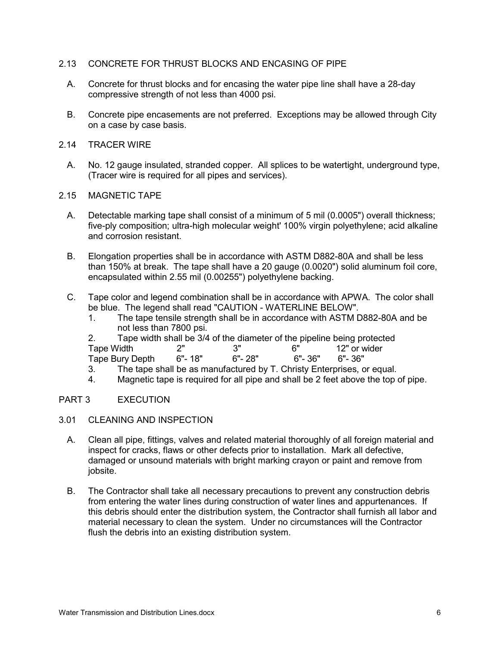### 2.13 CONCRETE FOR THRUST BLOCKS AND ENCASING OF PIPE

- A. Concrete for thrust blocks and for encasing the water pipe line shall have a 28-day compressive strength of not less than 4000 psi.
- B. Concrete pipe encasements are not preferred. Exceptions may be allowed through City on a case by case basis.
- 2.14 TRACER WIRE
	- A. No. 12 gauge insulated, stranded copper. All splices to be watertight, underground type, (Tracer wire is required for all pipes and services).
- 2.15 MAGNETIC TAPE
	- A. Detectable marking tape shall consist of a minimum of 5 mil (0.0005") overall thickness; five-ply composition; ultra-high molecular weight' 100% virgin polyethylene; acid alkaline and corrosion resistant.
	- B. Elongation properties shall be in accordance with ASTM D882-80A and shall be less than 150% at break. The tape shall have a 20 gauge (0.0020") solid aluminum foil core, encapsulated within 2.55 mil (0.00255") polyethylene backing.
	- C. Tape color and legend combination shall be in accordance with APWA. The color shall be blue. The legend shall read "CAUTION - WATERLINE BELOW".
		- 1. The tape tensile strength shall be in accordance with ASTM D882-80A and be not less than 7800 psi.
		- 2. Tape width shall be 3/4 of the diameter of the pipeline being protected<br>Tape Width  $2^{\circ}$  2" 3" 6" 12" or wider

Tape Width 2" 3" 6" 12" or wider

Tape Bury Depth

- 3. The tape shall be as manufactured by T. Christy Enterprises, or equal.
- 4. Magnetic tape is required for all pipe and shall be 2 feet above the top of pipe.

### PART 3 EXECUTION

- 3.01 CLEANING AND INSPECTION
	- A. Clean all pipe, fittings, valves and related material thoroughly of all foreign material and inspect for cracks, flaws or other defects prior to installation. Mark all defective, damaged or unsound materials with bright marking crayon or paint and remove from jobsite.
	- B. The Contractor shall take all necessary precautions to prevent any construction debris from entering the water lines during construction of water lines and appurtenances. If this debris should enter the distribution system, the Contractor shall furnish all labor and material necessary to clean the system. Under no circumstances will the Contractor flush the debris into an existing distribution system.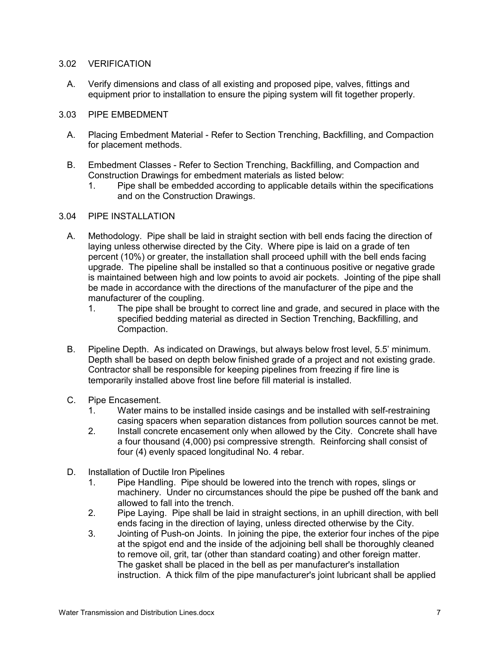#### 3.02 VERIFICATION

A. Verify dimensions and class of all existing and proposed pipe, valves, fittings and equipment prior to installation to ensure the piping system will fit together properly.

### 3.03 PIPE EMBEDMENT

- A. Placing Embedment Material Refer to Section Trenching, Backfilling, and Compaction for placement methods.
- B. Embedment Classes Refer to Section Trenching, Backfilling, and Compaction and Construction Drawings for embedment materials as listed below:
	- 1. Pipe shall be embedded according to applicable details within the specifications and on the Construction Drawings.

### 3.04 PIPE INSTALLATION

- A. Methodology. Pipe shall be laid in straight section with bell ends facing the direction of laying unless otherwise directed by the City. Where pipe is laid on a grade of ten percent (10%) or greater, the installation shall proceed uphill with the bell ends facing upgrade. The pipeline shall be installed so that a continuous positive or negative grade is maintained between high and low points to avoid air pockets. Jointing of the pipe shall be made in accordance with the directions of the manufacturer of the pipe and the manufacturer of the coupling.
	- 1. The pipe shall be brought to correct line and grade, and secured in place with the specified bedding material as directed in Section Trenching, Backfilling, and Compaction.
- B. Pipeline Depth. As indicated on Drawings, but always below frost level, 5.5' minimum. Depth shall be based on depth below finished grade of a project and not existing grade. Contractor shall be responsible for keeping pipelines from freezing if fire line is temporarily installed above frost line before fill material is installed.
- C. Pipe Encasement.
	- 1. Water mains to be installed inside casings and be installed with self-restraining casing spacers when separation distances from pollution sources cannot be met.
	- 2. Install concrete encasement only when allowed by the City. Concrete shall have a four thousand (4,000) psi compressive strength. Reinforcing shall consist of four (4) evenly spaced longitudinal No. 4 rebar.
- D. Installation of Ductile Iron Pipelines
	- 1. Pipe Handling. Pipe should be lowered into the trench with ropes, slings or machinery. Under no circumstances should the pipe be pushed off the bank and allowed to fall into the trench.
	- 2. Pipe Laying. Pipe shall be laid in straight sections, in an uphill direction, with bell ends facing in the direction of laying, unless directed otherwise by the City.
	- 3. Jointing of Push-on Joints. In joining the pipe, the exterior four inches of the pipe at the spigot end and the inside of the adjoining bell shall be thoroughly cleaned to remove oil, grit, tar (other than standard coating) and other foreign matter. The gasket shall be placed in the bell as per manufacturer's installation instruction. A thick film of the pipe manufacturer's joint lubricant shall be applied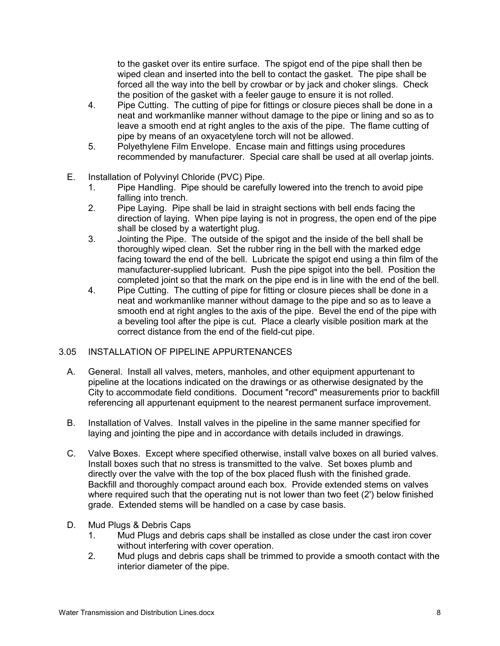to the gasket over its entire surface. The spigot end of the pipe shall then be wiped clean and inserted into the bell to contact the gasket. The pipe shall be forced all the way into the bell by crowbar or by jack and choker slings. Check the position of the gasket with a feeler gauge to ensure it is not rolled.

- 4. Pipe Cutting. The cutting of pipe for fittings or closure pieces shall be done in a neat and workmanlike manner without damage to the pipe or lining and so as to leave a smooth end at right angles to the axis of the pipe. The flame cutting of pipe by means of an oxyacetylene torch will not be allowed.
- 5. Polyethylene Film Envelope. Encase main and fittings using procedures recommended by manufacturer. Special care shall be used at all overlap joints.
- E. Installation of Polyvinyl Chloride (PVC) Pipe.
	- 1. Pipe Handling. Pipe should be carefully lowered into the trench to avoid pipe falling into trench.
	- 2. Pipe Laying. Pipe shall be laid in straight sections with bell ends facing the direction of laying. When pipe laying is not in progress, the open end of the pipe shall be closed by a watertight plug.
	- 3. Jointing the Pipe. The outside of the spigot and the inside of the bell shall be thoroughly wiped clean. Set the rubber ring in the bell with the marked edge facing toward the end of the bell. Lubricate the spigot end using a thin film of the manufacturer-supplied lubricant. Push the pipe spigot into the bell. Position the completed joint so that the mark on the pipe end is in line with the end of the bell.
	- 4. Pipe Cutting. The cutting of pipe for fitting or closure pieces shall be done in a neat and workmanlike manner without damage to the pipe and so as to leave a smooth end at right angles to the axis of the pipe. Bevel the end of the pipe with a beveling tool after the pipe is cut. Place a clearly visible position mark at the correct distance from the end of the field-cut pipe.

### 3.05 INSTALLATION OF PIPELINE APPURTENANCES

- A. General. Install all valves, meters, manholes, and other equipment appurtenant to pipeline at the locations indicated on the drawings or as otherwise designated by the City to accommodate field conditions. Document "record" measurements prior to backfill referencing all appurtenant equipment to the nearest permanent surface improvement.
- B. Installation of Valves. Install valves in the pipeline in the same manner specified for laying and jointing the pipe and in accordance with details included in drawings.
- C. Valve Boxes. Except where specified otherwise, install valve boxes on all buried valves. Install boxes such that no stress is transmitted to the valve. Set boxes plumb and directly over the valve with the top of the box placed flush with the finished grade. Backfill and thoroughly compact around each box. Provide extended stems on valves where required such that the operating nut is not lower than two feet (2') below finished grade. Extended stems will be handled on a case by case basis.
- D. Mud Plugs & Debris Caps
	- 1. Mud Plugs and debris caps shall be installed as close under the cast iron cover without interfering with cover operation.
	- 2. Mud plugs and debris caps shall be trimmed to provide a smooth contact with the interior diameter of the pipe.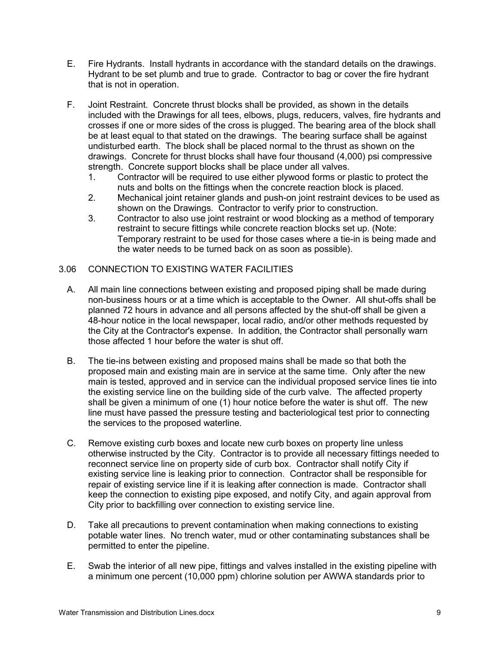- E. Fire Hydrants. Install hydrants in accordance with the standard details on the drawings. Hydrant to be set plumb and true to grade. Contractor to bag or cover the fire hydrant that is not in operation.
- F. Joint Restraint. Concrete thrust blocks shall be provided, as shown in the details included with the Drawings for all tees, elbows, plugs, reducers, valves, fire hydrants and crosses if one or more sides of the cross is plugged. The bearing area of the block shall be at least equal to that stated on the drawings. The bearing surface shall be against undisturbed earth. The block shall be placed normal to the thrust as shown on the drawings. Concrete for thrust blocks shall have four thousand (4,000) psi compressive strength. Concrete support blocks shall be place under all valves.
	- 1. Contractor will be required to use either plywood forms or plastic to protect the nuts and bolts on the fittings when the concrete reaction block is placed.
	- 2. Mechanical joint retainer glands and push-on joint restraint devices to be used as shown on the Drawings. Contractor to verify prior to construction.
	- 3. Contractor to also use joint restraint or wood blocking as a method of temporary restraint to secure fittings while concrete reaction blocks set up. (Note: Temporary restraint to be used for those cases where a tie-in is being made and the water needs to be turned back on as soon as possible).

### 3.06 CONNECTION TO EXISTING WATER FACILITIES

- A. All main line connections between existing and proposed piping shall be made during non-business hours or at a time which is acceptable to the Owner. All shut-offs shall be planned 72 hours in advance and all persons affected by the shut-off shall be given a 48-hour notice in the local newspaper, local radio, and/or other methods requested by the City at the Contractor's expense. In addition, the Contractor shall personally warn those affected 1 hour before the water is shut off.
- B. The tie-ins between existing and proposed mains shall be made so that both the proposed main and existing main are in service at the same time. Only after the new main is tested, approved and in service can the individual proposed service lines tie into the existing service line on the building side of the curb valve. The affected property shall be given a minimum of one (1) hour notice before the water is shut off. The new line must have passed the pressure testing and bacteriological test prior to connecting the services to the proposed waterline.
- C. Remove existing curb boxes and locate new curb boxes on property line unless otherwise instructed by the City. Contractor is to provide all necessary fittings needed to reconnect service line on property side of curb box. Contractor shall notify City if existing service line is leaking prior to connection. Contractor shall be responsible for repair of existing service line if it is leaking after connection is made. Contractor shall keep the connection to existing pipe exposed, and notify City, and again approval from City prior to backfilling over connection to existing service line.
- D. Take all precautions to prevent contamination when making connections to existing potable water lines. No trench water, mud or other contaminating substances shall be permitted to enter the pipeline.
- E. Swab the interior of all new pipe, fittings and valves installed in the existing pipeline with a minimum one percent (10,000 ppm) chlorine solution per AWWA standards prior to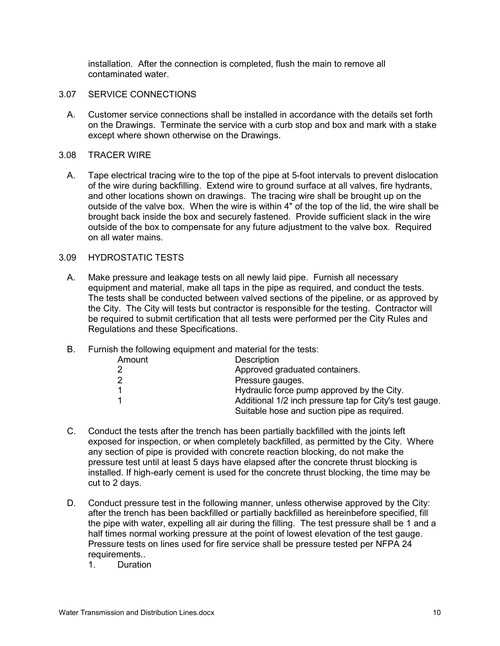installation. After the connection is completed, flush the main to remove all contaminated water.

- 3.07 SERVICE CONNECTIONS
	- A. Customer service connections shall be installed in accordance with the details set forth on the Drawings. Terminate the service with a curb stop and box and mark with a stake except where shown otherwise on the Drawings.

#### 3.08 TRACER WIRE

A. Tape electrical tracing wire to the top of the pipe at 5-foot intervals to prevent dislocation of the wire during backfilling. Extend wire to ground surface at all valves, fire hydrants, and other locations shown on drawings. The tracing wire shall be brought up on the outside of the valve box. When the wire is within 4" of the top of the lid, the wire shall be brought back inside the box and securely fastened. Provide sufficient slack in the wire outside of the box to compensate for any future adjustment to the valve box. Required on all water mains.

### 3.09 HYDROSTATIC TESTS

- A. Make pressure and leakage tests on all newly laid pipe. Furnish all necessary equipment and material, make all taps in the pipe as required, and conduct the tests. The tests shall be conducted between valved sections of the pipeline, or as approved by the City. The City will tests but contractor is responsible for the testing. Contractor will be required to submit certification that all tests were performed per the City Rules and Regulations and these Specifications.
- B. Furnish the following equipment and material for the tests:

| Amount | <b>Description</b>                                                                                     |
|--------|--------------------------------------------------------------------------------------------------------|
|        | Approved graduated containers.                                                                         |
| 2      | Pressure gauges.                                                                                       |
|        | Hydraulic force pump approved by the City.                                                             |
|        | Additional 1/2 inch pressure tap for City's test gauge.<br>Suitable hose and suction pipe as required. |

- C. Conduct the tests after the trench has been partially backfilled with the joints left exposed for inspection, or when completely backfilled, as permitted by the City. Where any section of pipe is provided with concrete reaction blocking, do not make the pressure test until at least 5 days have elapsed after the concrete thrust blocking is installed. If high-early cement is used for the concrete thrust blocking, the time may be cut to 2 days.
- D. Conduct pressure test in the following manner, unless otherwise approved by the City: after the trench has been backfilled or partially backfilled as hereinbefore specified, fill the pipe with water, expelling all air during the filling. The test pressure shall be 1 and a half times normal working pressure at the point of lowest elevation of the test gauge. Pressure tests on lines used for fire service shall be pressure tested per NFPA 24 requirements..
	- 1. Duration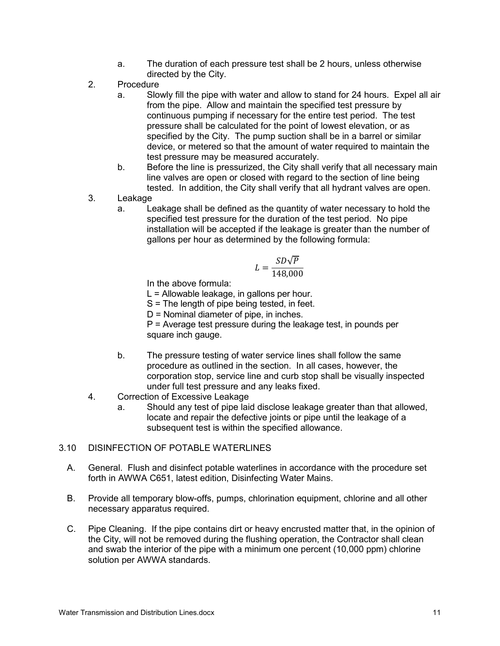- a. The duration of each pressure test shall be 2 hours, unless otherwise directed by the City.
- 2. Procedure
	- a. Slowly fill the pipe with water and allow to stand for 24 hours. Expel all air from the pipe. Allow and maintain the specified test pressure by continuous pumping if necessary for the entire test period. The test pressure shall be calculated for the point of lowest elevation, or as specified by the City. The pump suction shall be in a barrel or similar device, or metered so that the amount of water required to maintain the test pressure may be measured accurately.
	- b. Before the line is pressurized, the City shall verify that all necessary main line valves are open or closed with regard to the section of line being tested. In addition, the City shall verify that all hydrant valves are open.
- 3. Leakage
	- a. Leakage shall be defined as the quantity of water necessary to hold the specified test pressure for the duration of the test period. No pipe installation will be accepted if the leakage is greater than the number of gallons per hour as determined by the following formula:

$$
L = \frac{SD\sqrt{P}}{148,000}
$$

In the above formula:

L = Allowable leakage, in gallons per hour.

S = The length of pipe being tested, in feet.

D = Nominal diameter of pipe, in inches.

P = Average test pressure during the leakage test, in pounds per square inch gauge.

- b. The pressure testing of water service lines shall follow the same procedure as outlined in the section. In all cases, however, the corporation stop, service line and curb stop shall be visually inspected under full test pressure and any leaks fixed.
- 4. Correction of Excessive Leakage
	- a. Should any test of pipe laid disclose leakage greater than that allowed, locate and repair the defective joints or pipe until the leakage of a subsequent test is within the specified allowance.

#### 3.10 DISINFECTION OF POTABLE WATERLINES

- A. General. Flush and disinfect potable waterlines in accordance with the procedure set forth in AWWA C651, latest edition, Disinfecting Water Mains.
- B. Provide all temporary blow-offs, pumps, chlorination equipment, chlorine and all other necessary apparatus required.
- C. Pipe Cleaning. If the pipe contains dirt or heavy encrusted matter that, in the opinion of the City, will not be removed during the flushing operation, the Contractor shall clean and swab the interior of the pipe with a minimum one percent (10,000 ppm) chlorine solution per AWWA standards.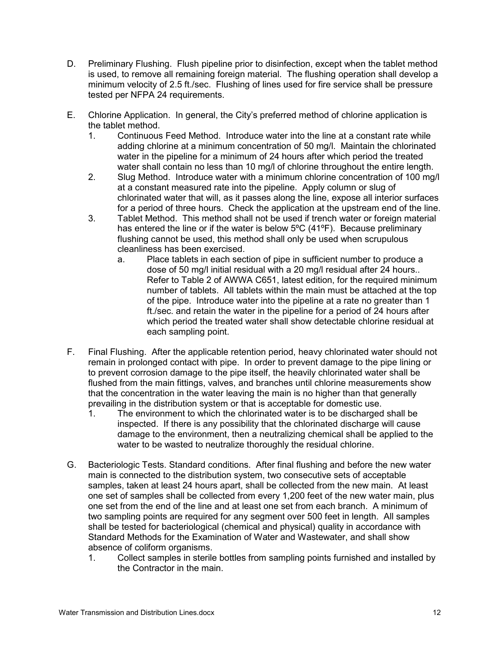- D. Preliminary Flushing. Flush pipeline prior to disinfection, except when the tablet method is used, to remove all remaining foreign material. The flushing operation shall develop a minimum velocity of 2.5 ft./sec. Flushing of lines used for fire service shall be pressure tested per NFPA 24 requirements.
- E. Chlorine Application. In general, the City's preferred method of chlorine application is the tablet method.
	- 1. Continuous Feed Method. Introduce water into the line at a constant rate while adding chlorine at a minimum concentration of 50 mg/l. Maintain the chlorinated water in the pipeline for a minimum of 24 hours after which period the treated water shall contain no less than 10 mg/l of chlorine throughout the entire length.
	- 2. Slug Method. Introduce water with a minimum chlorine concentration of 100 mg/l at a constant measured rate into the pipeline. Apply column or slug of chlorinated water that will, as it passes along the line, expose all interior surfaces for a period of three hours. Check the application at the upstream end of the line.
	- 3. Tablet Method. This method shall not be used if trench water or foreign material has entered the line or if the water is below 5ºC (41ºF). Because preliminary flushing cannot be used, this method shall only be used when scrupulous cleanliness has been exercised.
		- a. Place tablets in each section of pipe in sufficient number to produce a dose of 50 mg/l initial residual with a 20 mg/l residual after 24 hours.. Refer to Table 2 of AWWA C651, latest edition, for the required minimum number of tablets. All tablets within the main must be attached at the top of the pipe. Introduce water into the pipeline at a rate no greater than 1 ft./sec. and retain the water in the pipeline for a period of 24 hours after which period the treated water shall show detectable chlorine residual at each sampling point.
- F. Final Flushing. After the applicable retention period, heavy chlorinated water should not remain in prolonged contact with pipe. In order to prevent damage to the pipe lining or to prevent corrosion damage to the pipe itself, the heavily chlorinated water shall be flushed from the main fittings, valves, and branches until chlorine measurements show that the concentration in the water leaving the main is no higher than that generally prevailing in the distribution system or that is acceptable for domestic use.
	- 1. The environment to which the chlorinated water is to be discharged shall be inspected. If there is any possibility that the chlorinated discharge will cause damage to the environment, then a neutralizing chemical shall be applied to the water to be wasted to neutralize thoroughly the residual chlorine.
- G. Bacteriologic Tests. Standard conditions. After final flushing and before the new water main is connected to the distribution system, two consecutive sets of acceptable samples, taken at least 24 hours apart, shall be collected from the new main. At least one set of samples shall be collected from every 1,200 feet of the new water main, plus one set from the end of the line and at least one set from each branch. A minimum of two sampling points are required for any segment over 500 feet in length. All samples shall be tested for bacteriological (chemical and physical) quality in accordance with Standard Methods for the Examination of Water and Wastewater, and shall show absence of coliform organisms.
	- 1. Collect samples in sterile bottles from sampling points furnished and installed by the Contractor in the main.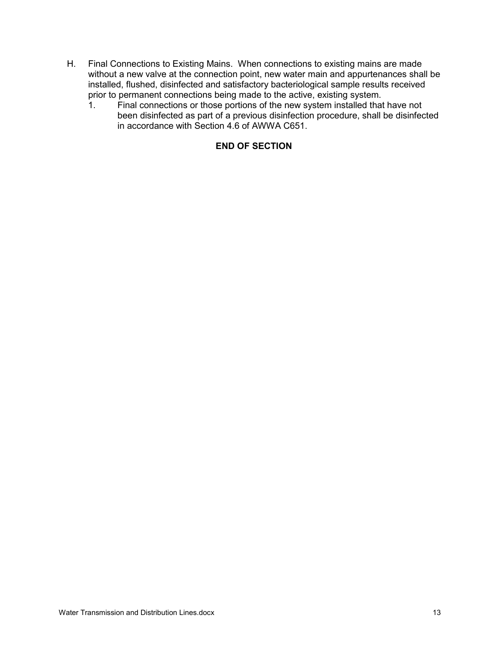- H. Final Connections to Existing Mains. When connections to existing mains are made without a new valve at the connection point, new water main and appurtenances shall be installed, flushed, disinfected and satisfactory bacteriological sample results received prior to permanent connections being made to the active, existing system.<br>1. Final connections or those portions of the new system installed that
	- Final connections or those portions of the new system installed that have not been disinfected as part of a previous disinfection procedure, shall be disinfected in accordance with Section 4.6 of AWWA C651.

# **END OF SECTION**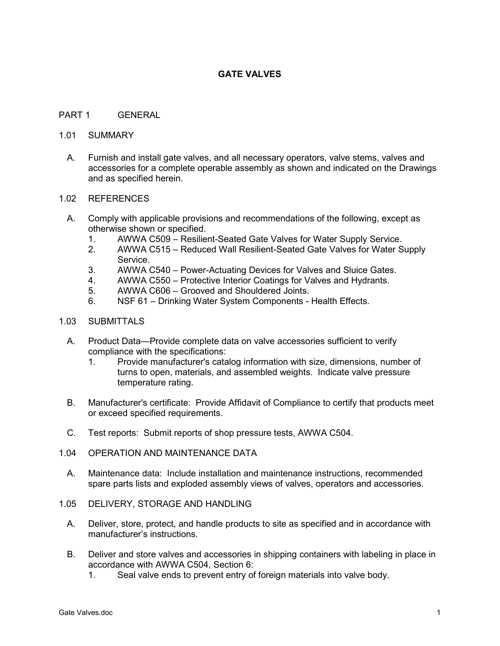# **GATE VALVES**

#### PART 1 GENERAL

#### 1.01 SUMMARY

A. Furnish and install gate valves, and all necessary operators, valve stems, valves and accessories for a complete operable assembly as shown and indicated on the Drawings and as specified herein.

#### 1.02 REFERENCES

- A. Comply with applicable provisions and recommendations of the following, except as otherwise shown or specified.
	- 1. AWWA C509 Resilient-Seated Gate Valves for Water Supply Service.
	- 2. AWWA C515 Reduced Wall Resilient-Seated Gate Valves for Water Supply Service.
	- 3. AWWA C540 Power-Actuating Devices for Valves and Sluice Gates.
	- 4. AWWA C550 Protective Interior Coatings for Valves and Hydrants.
	- 5. AWWA C606 Grooved and Shouldered Joints.
	- 6. NSF 61 Drinking Water System Components Health Effects.

#### 1.03 SUBMITTALS

- A. Product Data—Provide complete data on valve accessories sufficient to verify compliance with the specifications:
	- 1. Provide manufacturer's catalog information with size, dimensions, number of turns to open, materials, and assembled weights. Indicate valve pressure temperature rating.
- B. Manufacturer's certificate: Provide Affidavit of Compliance to certify that products meet or exceed specified requirements.
- C. Test reports: Submit reports of shop pressure tests, AWWA C504.
- 1.04 OPERATION AND MAINTENANCE DATA
	- A. Maintenance data: Include installation and maintenance instructions, recommended spare parts lists and exploded assembly views of valves, operators and accessories.
- 1.05 DELIVERY, STORAGE AND HANDLING
	- A. Deliver, store, protect, and handle products to site as specified and in accordance with manufacturer's instructions.
	- B. Deliver and store valves and accessories in shipping containers with labeling in place in accordance with AWWA C504, Section 6:
		- 1. Seal valve ends to prevent entry of foreign materials into valve body.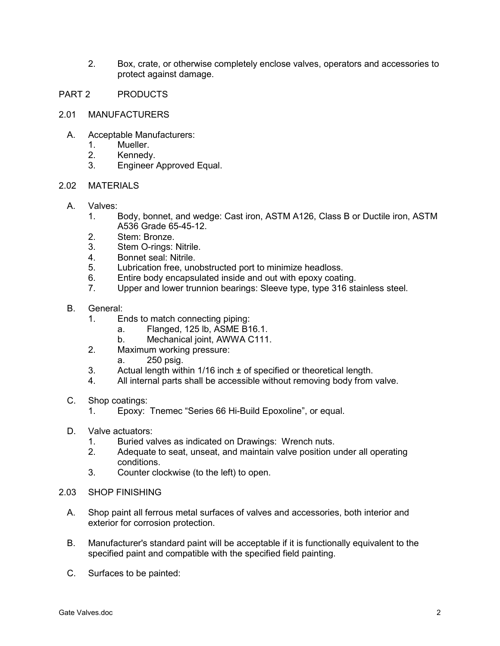- 2. Box, crate, or otherwise completely enclose valves, operators and accessories to protect against damage.
- PART 2 PRODUCTS
- 2.01 MANUFACTURERS
	- A. Acceptable Manufacturers:
		- 1. Mueller.
		- 2. Kennedy.
		- 3. Engineer Approved Equal.

### 2.02 MATERIALS

- A. Valves:
	- 1. Body, bonnet, and wedge: Cast iron, ASTM A126, Class B or Ductile iron, ASTM A536 Grade 65-45-12.
	- 2. Stem: Bronze.
	- 3. Stem O-rings: Nitrile.
	- 4. Bonnet seal: Nitrile.
	- 5. Lubrication free, unobstructed port to minimize headloss.
	- 6. Entire body encapsulated inside and out with epoxy coating.<br>7. Upper and lower trunnion bearings: Sleeve type. type 316 sta
	- Upper and lower trunnion bearings: Sleeve type, type 316 stainless steel.
- B. General:
	- 1. Ends to match connecting piping:
		- a. Flanged, 125 lb, ASME B16.1.
		- b. Mechanical joint, AWWA C111.
	- 2. Maximum working pressure:
		- a. 250 psig.
	- 3. Actual length within  $1/16$  inch  $\pm$  of specified or theoretical length.
	- 4. All internal parts shall be accessible without removing body from valve.
- C. Shop coatings:
	- 1. Epoxy: Tnemec "Series 66 Hi-Build Epoxoline", or equal.
- D. Valve actuators:
	- 1. Buried valves as indicated on Drawings: Wrench nuts.
	- 2. Adequate to seat, unseat, and maintain valve position under all operating conditions.
	- 3. Counter clockwise (to the left) to open.
- 2.03 SHOP FINISHING
	- A. Shop paint all ferrous metal surfaces of valves and accessories, both interior and exterior for corrosion protection.
	- B. Manufacturer's standard paint will be acceptable if it is functionally equivalent to the specified paint and compatible with the specified field painting.
	- C. Surfaces to be painted: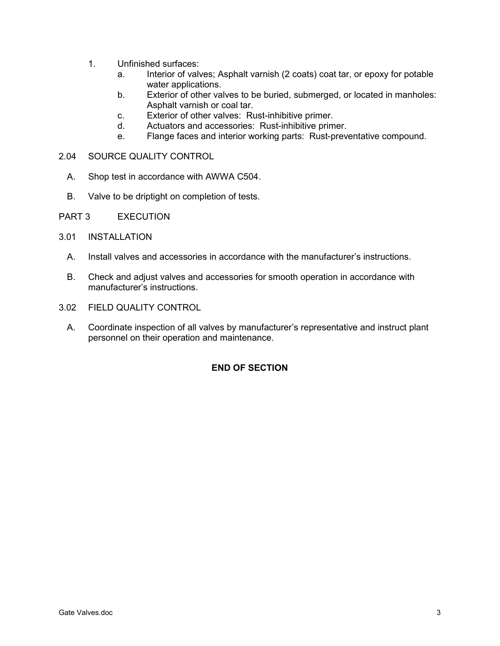- 1. Unfinished surfaces:
	- a. Interior of valves; Asphalt varnish (2 coats) coat tar, or epoxy for potable water applications.
	- b. Exterior of other valves to be buried, submerged, or located in manholes: Asphalt varnish or coal tar.
	- c. Exterior of other valves: Rust-inhibitive primer.
	- d. Actuators and accessories: Rust-inhibitive primer.
	- e. Flange faces and interior working parts: Rust-preventative compound.
- 2.04 SOURCE QUALITY CONTROL
	- A. Shop test in accordance with AWWA C504.
	- B. Valve to be driptight on completion of tests.
- PART 3 EXECUTION
- 3.01 INSTALLATION
	- A. Install valves and accessories in accordance with the manufacturer's instructions.
	- B. Check and adjust valves and accessories for smooth operation in accordance with manufacturer's instructions.
- 3.02 FIELD QUALITY CONTROL
	- A. Coordinate inspection of all valves by manufacturer's representative and instruct plant personnel on their operation and maintenance.

# **END OF SECTION**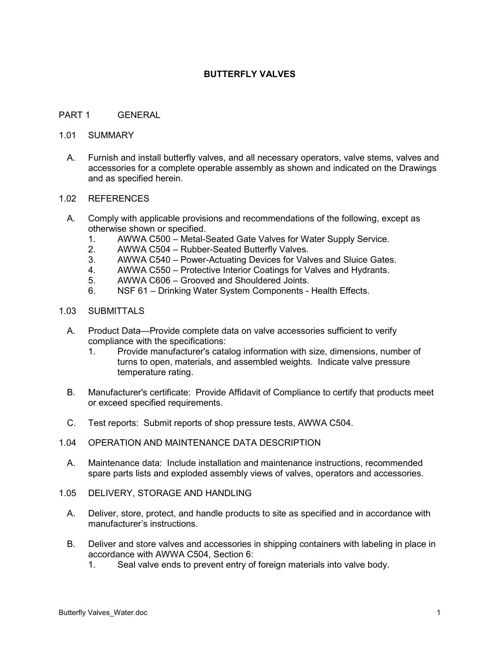### **BUTTERFLY VALVES**

### PART 1 GENERAL

#### 1.01 SUMMARY

A. Furnish and install butterfly valves, and all necessary operators, valve stems, valves and accessories for a complete operable assembly as shown and indicated on the Drawings and as specified herein.

#### 1.02 REFERENCES

- A. Comply with applicable provisions and recommendations of the following, except as otherwise shown or specified.
	- 1. AWWA C500 Metal-Seated Gate Valves for Water Supply Service.
	- 2. AWWA C504 Rubber-Seated Butterfly Valves.
	- 3. AWWA C540 Power-Actuating Devices for Valves and Sluice Gates.
	- 4. AWWA C550 Protective Interior Coatings for Valves and Hydrants.
	- 5. AWWA C606 Grooved and Shouldered Joints.
	- 6. NSF 61 Drinking Water System Components Health Effects.

#### 1.03 SUBMITTALS

- A. Product Data—Provide complete data on valve accessories sufficient to verify compliance with the specifications:
	- 1. Provide manufacturer's catalog information with size, dimensions, number of turns to open, materials, and assembled weights. Indicate valve pressure temperature rating.
- B. Manufacturer's certificate: Provide Affidavit of Compliance to certify that products meet or exceed specified requirements.
- C. Test reports: Submit reports of shop pressure tests, AWWA C504.
- 1.04 OPERATION AND MAINTENANCE DATA DESCRIPTION
	- A. Maintenance data: Include installation and maintenance instructions, recommended spare parts lists and exploded assembly views of valves, operators and accessories.
- 1.05 DELIVERY, STORAGE AND HANDLING
	- A. Deliver, store, protect, and handle products to site as specified and in accordance with manufacturer's instructions.
	- B. Deliver and store valves and accessories in shipping containers with labeling in place in accordance with AWWA C504, Section 6:
		- 1. Seal valve ends to prevent entry of foreign materials into valve body.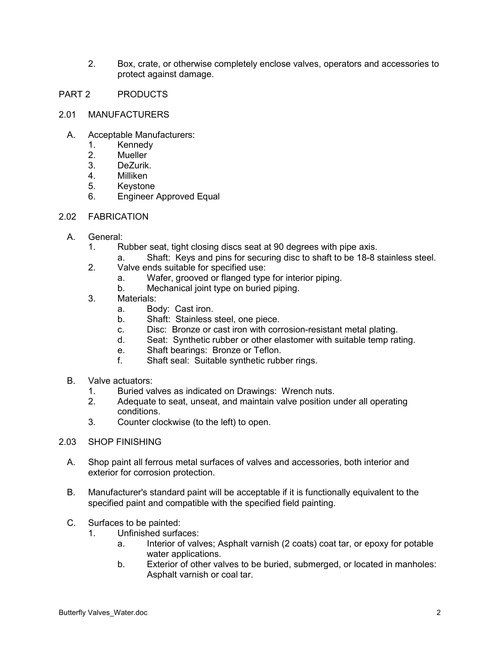- 2. Box, crate, or otherwise completely enclose valves, operators and accessories to protect against damage.
- PART 2 PRODUCTS
- 2.01 MANUFACTURERS
	- A. Acceptable Manufacturers:
		- 1. Kennedy
		- 2. Mueller
		- 3. DeZurik.
		- 4. Milliken
		- 5. Keystone
		- 6. Engineer Approved Equal
- 2.02 FABRICATION
	- A. General:
		- 1. Rubber seat, tight closing discs seat at 90 degrees with pipe axis.
			- a. Shaft: Keys and pins for securing disc to shaft to be 18-8 stainless steel.
		- 2. Valve ends suitable for specified use:
			- a. Wafer, grooved or flanged type for interior piping.
			- b. Mechanical joint type on buried piping.
		- 3. Materials:
			- a. Body: Cast iron.
			- b. Shaft: Stainless steel, one piece.
			- c. Disc: Bronze or cast iron with corrosion-resistant metal plating.
			- d. Seat: Synthetic rubber or other elastomer with suitable temp rating.
			- e. Shaft bearings: Bronze or Teflon.
			- f. Shaft seal: Suitable synthetic rubber rings.
	- B. Valve actuators:
		- 1. Buried valves as indicated on Drawings: Wrench nuts.
		- 2. Adequate to seat, unseat, and maintain valve position under all operating conditions.
		- 3. Counter clockwise (to the left) to open.
- 2.03 SHOP FINISHING
	- A. Shop paint all ferrous metal surfaces of valves and accessories, both interior and exterior for corrosion protection.
	- B. Manufacturer's standard paint will be acceptable if it is functionally equivalent to the specified paint and compatible with the specified field painting.
	- C. Surfaces to be painted:
		- 1. Unfinished surfaces:
			- a. Interior of valves; Asphalt varnish (2 coats) coat tar, or epoxy for potable water applications.
			- b. Exterior of other valves to be buried, submerged, or located in manholes: Asphalt varnish or coal tar.